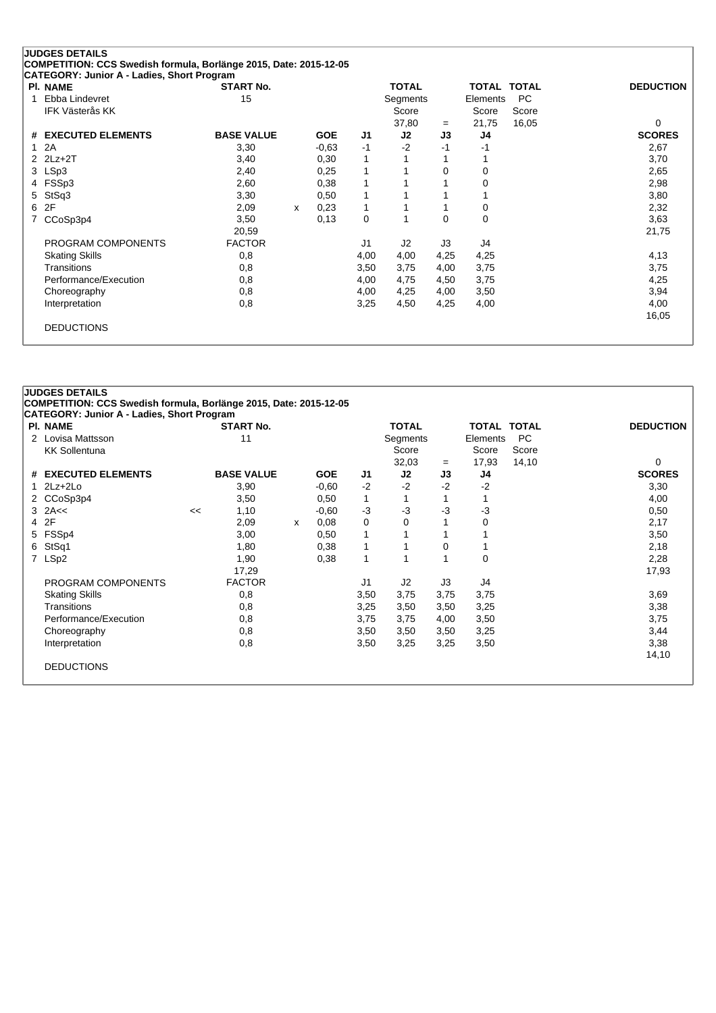| <b>PI. NAME</b>               | <b>START No.</b>  |   |            |      | <b>TOTAL</b> |          | <b>TOTAL TOTAL</b> |       | <b>DEDUCTION</b> |
|-------------------------------|-------------------|---|------------|------|--------------|----------|--------------------|-------|------------------|
| Ebba Lindevret<br>1           | 15                |   |            |      | Segments     |          | Elements           | PC    |                  |
| <b>IFK Västerås KK</b>        |                   |   |            |      | Score        |          | Score              | Score |                  |
|                               |                   |   |            |      | 37,80        | $=$      | 21,75              | 16,05 | 0                |
| <b>EXECUTED ELEMENTS</b><br># | <b>BASE VALUE</b> |   | <b>GOE</b> | J1   | J2           | J3       | J4                 |       | <b>SCORES</b>    |
| 2A<br>1                       | 3,30              |   | $-0,63$    | $-1$ | $-2$         | $-1$     | -1                 |       | 2,67             |
| $2Lz+2T$                      | 3,40              |   | 0,30       | 1    |              |          |                    |       | 3,70             |
| 3 LSp3                        | 2,40              |   | 0,25       | 1    |              | $\Omega$ | 0                  |       | 2,65             |
| FSSp3                         | 2,60              |   | 0,38       | 1    |              |          | 0                  |       | 2,98             |
| StSq3<br>5.                   | 3,30              |   | 0,50       | 1    |              |          |                    |       | 3,80             |
| 2F<br>6                       | 2,09              | X | 0,23       | 1    |              |          | 0                  |       | 2,32             |
| CCoSp3p4<br>7                 | 3,50              |   | 0,13       | 0    |              | $\Omega$ | 0                  |       | 3,63             |
|                               | 20,59             |   |            |      |              |          |                    |       | 21,75            |
| PROGRAM COMPONENTS            | <b>FACTOR</b>     |   |            | J1   | J2           | J3       | J4                 |       |                  |
| <b>Skating Skills</b>         | 0,8               |   |            | 4,00 | 4,00         | 4,25     | 4,25               |       | 4,13             |
| Transitions                   | 0,8               |   |            | 3,50 | 3,75         | 4,00     | 3,75               |       | 3,75             |
| Performance/Execution         | 0,8               |   |            | 4,00 | 4,75         | 4,50     | 3,75               |       | 4,25             |
| Choreography                  | 0,8               |   |            | 4,00 | 4,25         | 4,00     | 3,50               |       | 3,94             |
| Interpretation                | 0,8               |   |            | 3,25 | 4,50         | 4,25     | 4,00               |       | 4,00             |
|                               |                   |   |            |      |              |          |                    |       | 16,05            |

# **JUDGES DETAILS COMPETITION: CCS Swedish formula, Borlänge 2015, Date: 2015-12-05 CATEGORY: Junior A - Ladies, Short Program Pl. NAME START No. TOTAL TOTAL TOTAL DEDUCTION** 2 Lovisa Mattsson 11 Segments Elements PC KK Sollentuna Score Score Score  $32,03 = 17,93 \quad 14,10$  0 **# EXECUTED ELEMENTS BASE VALUE GOE J1 J2 J3 J4 SCORES** 1 2Lz+2Lo 3,90 -0,60 -2 -2 -2 -2 3,30 2 CCoSp3p4 3,50 0,50 1 1 1 1 4,00 3 2A<< << 1,10 -0,60 -3 -3 -3 -3 0,50 4 2F 2,09 <sup>x</sup> 0,08 0 0 1 0 2,17 5 FSSp4 3,00 0,50 1 1 1 1 3,50 6 StSq1 1,80 0,38 1 1 0 1 2,18 7 LSp2 1,90 0,38 1 1 1 0 2,28 17,29 17,93 PROGRAM COMPONENTS FACTOR 11 J2 J3 J4 Skating Skills 0,8 3,50 3,75 3,75 3,75 3,69 Transitions 0,8 3,25 3,50 3,50 3,25 3,38 Performance/Execution 0,8 0,8 3,75 3,75 4,00 3,50 3,75 3,75 3,75 Choreography 0,8 3,50 3,50 3,50 3,25 3,44 Interpretation 0,8 3,50 3,25 3,25 3,50 3,38 14,10 DEDUCTIONS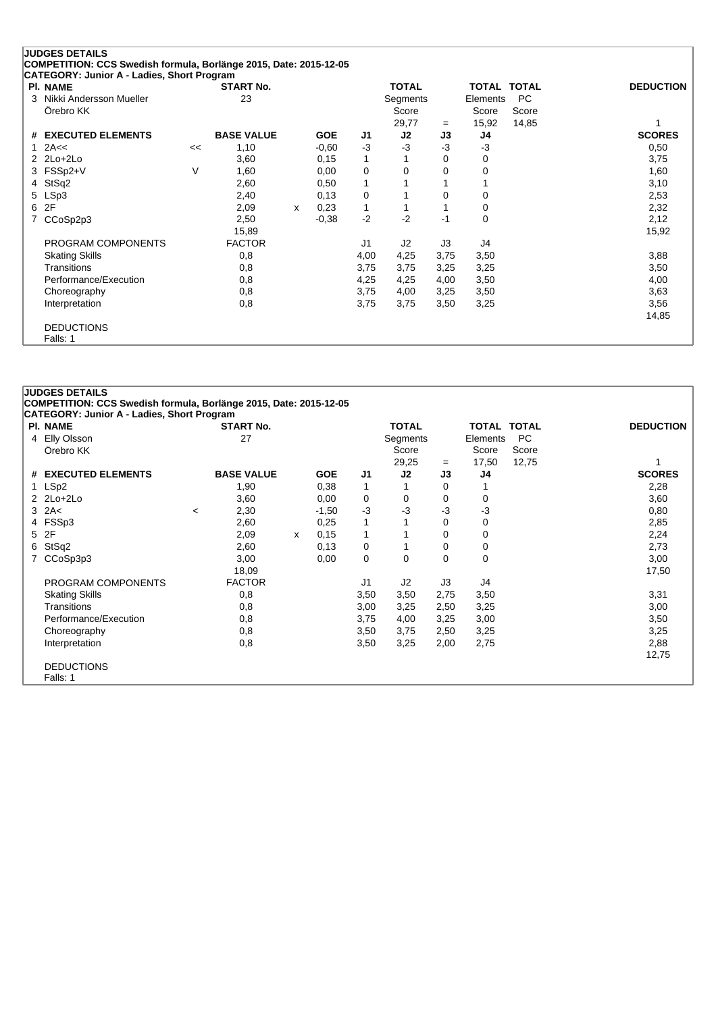|             | <b>JUDGES DETAILS</b>                                             |    |                   |   |            |              |              |      |          |                    |                  |
|-------------|-------------------------------------------------------------------|----|-------------------|---|------------|--------------|--------------|------|----------|--------------------|------------------|
|             | COMPETITION: CCS Swedish formula, Borlänge 2015, Date: 2015-12-05 |    |                   |   |            |              |              |      |          |                    |                  |
|             | CATEGORY: Junior A - Ladies, Short Program                        |    |                   |   |            |              |              |      |          |                    |                  |
|             | <b>PI. NAME</b>                                                   |    | <b>START No.</b>  |   |            |              | <b>TOTAL</b> |      |          | <b>TOTAL TOTAL</b> | <b>DEDUCTION</b> |
| 3           | Nikki Andersson Mueller                                           |    | 23                |   |            |              | Segments     |      | Elements | PC                 |                  |
|             | Örebro KK                                                         |    |                   |   |            |              | Score        |      | Score    | Score              |                  |
|             |                                                                   |    |                   |   |            |              | 29,77        | $=$  | 15,92    | 14,85              |                  |
|             | # EXECUTED ELEMENTS                                               |    | <b>BASE VALUE</b> |   | <b>GOE</b> | J1           | J2           | J3   | J4       |                    | <b>SCORES</b>    |
| $\mathbf 1$ | 2A<<                                                              | << | 1,10              |   | $-0.60$    | $-3$         | -3           | $-3$ | $-3$     |                    | 0,50             |
|             | $2$ $2$ $Lo+2$ $Lo+2$                                             |    | 3,60              |   | 0,15       | 1            |              | 0    | 0        |                    | 3,75             |
|             | 3 FSSp2+V                                                         | V  | 1,60              |   | 0,00       | 0            | $\Omega$     | 0    | $\Omega$ |                    | 1,60             |
| 4           | StSq2                                                             |    | 2,60              |   | 0,50       | 1            |              |      |          |                    | 3,10             |
|             | 5 LSp3                                                            |    | 2,40              |   | 0,13       | 0            |              |      | 0        |                    | 2,53             |
| 6           | 2F                                                                |    | 2,09              | x | 0,23       | $\mathbf{1}$ |              |      | 0        |                    | 2,32             |
|             | CCoSp2p3                                                          |    | 2,50              |   | $-0,38$    | $-2$         | $-2$         | $-1$ | 0        |                    | 2,12             |
|             |                                                                   |    | 15,89             |   |            |              |              |      |          |                    | 15,92            |
|             | PROGRAM COMPONENTS                                                |    | <b>FACTOR</b>     |   |            | J1           | J2           | J3   | J4       |                    |                  |
|             | <b>Skating Skills</b>                                             |    | 0,8               |   |            | 4,00         | 4,25         | 3,75 | 3,50     |                    | 3,88             |
|             | Transitions                                                       |    | 0,8               |   |            | 3,75         | 3,75         | 3,25 | 3,25     |                    | 3,50             |
|             | Performance/Execution                                             |    | 0,8               |   |            | 4,25         | 4,25         | 4,00 | 3,50     |                    | 4,00             |
|             | Choreography                                                      |    | 0,8               |   |            | 3,75         | 4,00         | 3,25 | 3,50     |                    | 3,63             |
|             | Interpretation                                                    |    | 0,8               |   |            | 3,75         | 3,75         | 3,50 | 3,25     |                    | 3,56             |
|             |                                                                   |    |                   |   |            |              |              |      |          |                    | 14,85            |
|             | <b>DEDUCTIONS</b>                                                 |    |                   |   |            |              |              |      |          |                    |                  |
|             | Falls: 1                                                          |    |                   |   |            |              |              |      |          |                    |                  |

#### **JUDGES DETAILS**

**COMPETITION: CCS Swedish formula, Borlänge 2015, Date: 2015-12-05**

| CATEGORY: Junior A - Ladies, Short Program |         |                   |   |            |                |              |          |                    |           |                  |
|--------------------------------------------|---------|-------------------|---|------------|----------------|--------------|----------|--------------------|-----------|------------------|
| <b>PI. NAME</b>                            |         | <b>START No.</b>  |   |            |                | <b>TOTAL</b> |          | <b>TOTAL TOTAL</b> |           | <b>DEDUCTION</b> |
| 4 Elly Olsson                              |         | 27                |   |            |                | Segments     |          | Elements           | <b>PC</b> |                  |
| Örebro KK                                  |         |                   |   |            |                | Score        |          | Score              | Score     |                  |
|                                            |         |                   |   |            |                | 29,25        | $=$      | 17,50              | 12,75     |                  |
| # EXECUTED ELEMENTS                        |         | <b>BASE VALUE</b> |   | <b>GOE</b> | J1             | J2           | J3       | J4                 |           | <b>SCORES</b>    |
| 1 LSp2                                     |         | 1,90              |   | 0,38       | 1              |              | 0        |                    |           | 2,28             |
| $2$ $2$ $Lo+2$ $Lo+2$                      |         | 3,60              |   | 0,00       | 0              | 0            | 0        | 0                  |           | 3,60             |
| $3$ 2A<                                    | $\,<\,$ | 2,30              |   | $-1,50$    | $-3$           | $-3$         | -3       | -3                 |           | 0,80             |
| 4 FSSp3                                    |         | 2,60              |   | 0,25       | 1              |              | 0        | 0                  |           | 2,85             |
| 5 2F                                       |         | 2,09              | x | 0,15       | 1              |              | 0        | 0                  |           | 2,24             |
| 6 StSq2                                    |         | 2,60              |   | 0,13       | 0              |              | 0        | 0                  |           | 2,73             |
| 7 CCoSp3p3                                 |         | 3,00              |   | 0,00       | 0              | 0            | $\Omega$ | 0                  |           | 3,00             |
|                                            |         | 18,09             |   |            |                |              |          |                    |           | 17,50            |
| PROGRAM COMPONENTS                         |         | <b>FACTOR</b>     |   |            | J <sub>1</sub> | J2           | J3       | J4                 |           |                  |
| <b>Skating Skills</b>                      |         | 0,8               |   |            | 3,50           | 3,50         | 2,75     | 3,50               |           | 3,31             |
| Transitions                                |         | 0,8               |   |            | 3,00           | 3,25         | 2,50     | 3,25               |           | 3,00             |
| Performance/Execution                      |         | 0,8               |   |            | 3,75           | 4,00         | 3,25     | 3,00               |           | 3,50             |
| Choreography                               |         | 0,8               |   |            | 3,50           | 3,75         | 2,50     | 3,25               |           | 3,25             |
| Interpretation                             |         | 0,8               |   |            | 3,50           | 3,25         | 2,00     | 2,75               |           | 2,88             |
|                                            |         |                   |   |            |                |              |          |                    |           | 12,75            |
| <b>DEDUCTIONS</b>                          |         |                   |   |            |                |              |          |                    |           |                  |
| Falls: 1                                   |         |                   |   |            |                |              |          |                    |           |                  |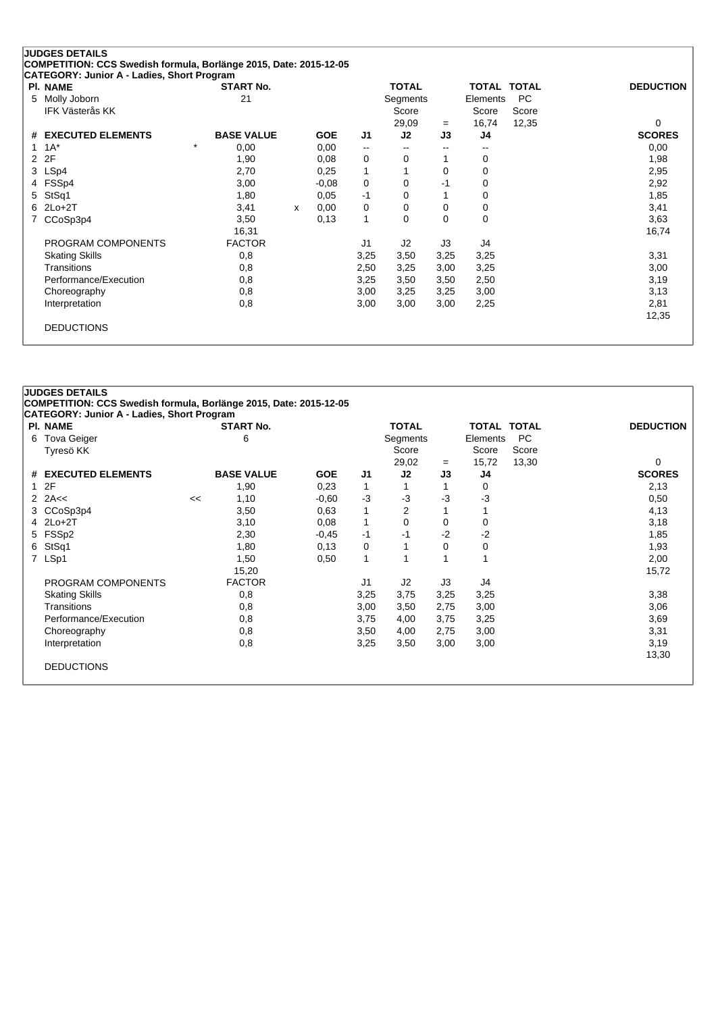| <b>PI. NAME</b>               | <b>START No.</b>             |   |            |                          | <b>TOTAL</b> |                          | <b>TOTAL TOTAL</b> |       | <b>DEDUCTION</b> |
|-------------------------------|------------------------------|---|------------|--------------------------|--------------|--------------------------|--------------------|-------|------------------|
| Molly Joborn<br>5.            | 21                           |   |            |                          | Segments     |                          | Elements           | PC    |                  |
| IFK Västerås KK               |                              |   |            |                          | Score        |                          | Score              | Score |                  |
|                               |                              |   |            |                          | 29,09        | $=$                      | 16,74              | 12,35 | $\Omega$         |
| <b>EXECUTED ELEMENTS</b><br># | <b>BASE VALUE</b><br>$\star$ |   | <b>GOE</b> | J1                       | J2           | J3                       | J4                 |       | <b>SCORES</b>    |
| $1A^*$                        | 0,00                         |   | 0,00       | $\overline{\phantom{a}}$ | --           | $\overline{\phantom{a}}$ | --                 |       | 0,00             |
| 2F<br>2                       | 1,90                         |   | 0,08       | 0                        | 0            |                          | 0                  |       | 1,98             |
| LSp4<br>3                     | 2,70                         |   | 0,25       | 1                        |              | 0                        | 0                  |       | 2,95             |
| FSSp4                         | 3,00                         |   | $-0,08$    | 0                        | 0            | -1                       | 0                  |       | 2,92             |
| StSq1<br>5.                   | 1,80                         |   | 0,05       | $-1$                     | 0            |                          | 0                  |       | 1,85             |
| $2Lo+2T$<br>6.                | 3,41                         | X | 0,00       | 0                        | 0            | $\Omega$                 | 0                  |       | 3,41             |
| CCoSp3p4                      | 3,50                         |   | 0.13       | 1                        | 0            | $\Omega$                 | 0                  |       | 3,63             |
|                               | 16,31                        |   |            |                          |              |                          |                    |       | 16,74            |
| PROGRAM COMPONENTS            | <b>FACTOR</b>                |   |            | J1                       | J2           | J3                       | J4                 |       |                  |
| <b>Skating Skills</b>         | 0,8                          |   |            | 3,25                     | 3,50         | 3,25                     | 3,25               |       | 3,31             |
| Transitions                   | 0,8                          |   |            | 2,50                     | 3,25         | 3,00                     | 3,25               |       | 3,00             |
| Performance/Execution         | 0,8                          |   |            | 3,25                     | 3,50         | 3,50                     | 2,50               |       | 3,19             |
| Choreography                  | 0,8                          |   |            | 3,00                     | 3,25         | 3,25                     | 3,00               |       | 3,13             |
| Interpretation                | 0,8                          |   |            | 3,00                     | 3,00         | 3,00                     | 2,25               |       | 2,81             |
|                               |                              |   |            |                          |              |                          |                    |       | 12,35            |

#### **JUDGES DETAILS COMPETITION: CCS Swedish formula, Borlänge 2015, Date: 2015-12-05**

| <b>PI. NAME</b>       |    | <b>START No.</b>  |            |              | <b>TOTAL</b> |      | TOTAL TOTAL |       | <b>DEDUCTION</b> |
|-----------------------|----|-------------------|------------|--------------|--------------|------|-------------|-------|------------------|
| 6 Tova Geiger         |    | 6                 |            |              | Segments     |      | Elements    | PC.   |                  |
| Tyresö KK             |    |                   |            |              | Score        |      | Score       | Score |                  |
|                       |    |                   |            |              | 29,02        | $=$  | 15,72       | 13,30 | 0                |
| # EXECUTED ELEMENTS   |    | <b>BASE VALUE</b> | <b>GOE</b> | J1           | J2           | J3   | J4          |       | <b>SCORES</b>    |
| 12F                   |    | 1,90              | 0,23       | 1            |              |      | 0           |       | 2,13             |
| 2 $2A \leq$           | << | 1,10              | $-0.60$    | -3           | $-3$         | $-3$ | $-3$        |       | 0,50             |
| 3 CCoSp3p4            |    | 3,50              | 0.63       | 1            | 2            |      |             |       | 4,13             |
| $4$ 2Lo+2T            |    | 3,10              | 0,08       | $\mathbf{1}$ | 0            | 0    | 0           |       | 3,18             |
| 5 FSSp2               |    | 2,30              | $-0,45$    | -1           | -1           | $-2$ | $-2$        |       | 1,85             |
| 6 StSq1               |    | 1,80              | 0,13       | 0            | 1            | 0    | 0           |       | 1,93             |
| 7 LSp1                |    | 1,50              | 0,50       | $\mathbf{1}$ | 1            |      |             |       | 2,00             |
|                       |    | 15,20             |            |              |              |      |             |       | 15,72            |
| PROGRAM COMPONENTS    |    | <b>FACTOR</b>     |            | J1           | J2           | J3   | J4          |       |                  |
| <b>Skating Skills</b> |    | 0,8               |            | 3,25         | 3,75         | 3,25 | 3,25        |       | 3,38             |
| Transitions           |    | 0,8               |            | 3,00         | 3,50         | 2,75 | 3,00        |       | 3,06             |
| Performance/Execution |    | 0,8               |            | 3,75         | 4,00         | 3,75 | 3,25        |       | 3,69             |
| Choreography          |    | 0,8               |            | 3,50         | 4,00         | 2,75 | 3,00        |       | 3,31             |
| Interpretation        |    | 0,8               |            | 3,25         | 3,50         | 3,00 | 3,00        |       | 3,19             |
|                       |    |                   |            |              |              |      |             |       | 13,30            |
| <b>DEDUCTIONS</b>     |    |                   |            |              |              |      |             |       |                  |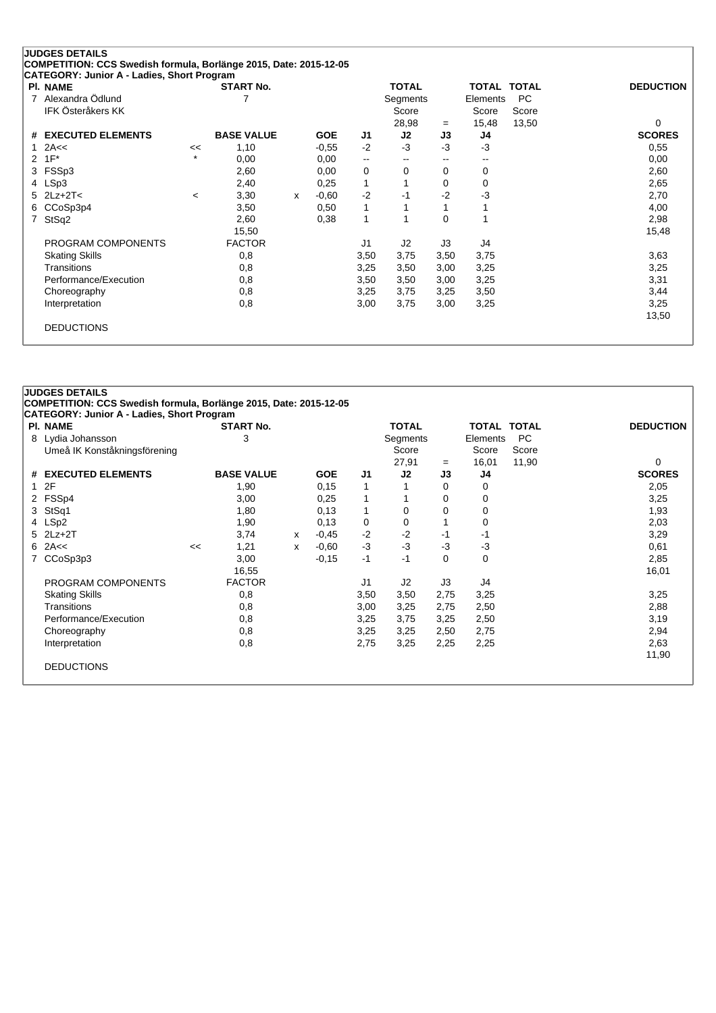| <b>PI. NAME</b>               |         | <b>START No.</b>  |              |            |                          | <b>TOTAL</b> |                          | <b>TOTAL TOTAL</b> |       | <b>DEDUCTION</b> |
|-------------------------------|---------|-------------------|--------------|------------|--------------------------|--------------|--------------------------|--------------------|-------|------------------|
| Alexandra Ödlund<br>7         |         |                   |              |            |                          | Segments     |                          | Elements           | PC    |                  |
| IFK Österåkers KK             |         |                   |              |            |                          | Score        |                          | Score              | Score |                  |
|                               |         |                   |              |            |                          | 28,98        | $=$                      | 15,48              | 13,50 | $\Omega$         |
| <b>EXECUTED ELEMENTS</b><br># |         | <b>BASE VALUE</b> |              | <b>GOE</b> | J1                       | J2           | J3                       | J4                 |       | <b>SCORES</b>    |
| 2A<<                          | <<      | 1,10              |              | $-0,55$    | $-2$                     | $-3$         | $-3$                     | $-3$               |       | 0,55             |
| $1F^*$<br>2                   | $\star$ | 0,00              |              | 0,00       | $\overline{\phantom{a}}$ | --           | $\overline{\phantom{a}}$ | --                 |       | 0,00             |
| FSSp3<br>3                    |         | 2,60              |              | 0,00       | 0                        | 0            | 0                        | 0                  |       | 2,60             |
| LSp3<br>4                     |         | 2,40              |              | 0,25       | 1                        |              | $\Omega$                 | 0                  |       | 2,65             |
| $2Lz + 2T <$<br>5.            | $\prec$ | 3,30              | $\mathsf{x}$ | $-0.60$    | $-2$                     | -1           | $-2$                     | -3                 |       | 2,70             |
| CCoSp3p4<br>6                 |         | 3,50              |              | 0,50       | 1                        |              |                          |                    |       | 4,00             |
| StSq2<br>7                    |         | 2,60              |              | 0,38       | 1                        |              | $\Omega$                 |                    |       | 2,98             |
|                               |         | 15,50             |              |            |                          |              |                          |                    |       | 15,48            |
| PROGRAM COMPONENTS            |         | <b>FACTOR</b>     |              |            | J1                       | J2           | J3                       | J4                 |       |                  |
| <b>Skating Skills</b>         |         | 0,8               |              |            | 3,50                     | 3,75         | 3,50                     | 3,75               |       | 3,63             |
| Transitions                   |         | 0,8               |              |            | 3,25                     | 3,50         | 3,00                     | 3,25               |       | 3,25             |
| Performance/Execution         |         | 0,8               |              |            | 3,50                     | 3,50         | 3,00                     | 3,25               |       | 3,31             |
| Choreography                  |         | 0,8               |              |            | 3,25                     | 3,75         | 3,25                     | 3,50               |       | 3,44             |
| Interpretation                |         | 0,8               |              |            | 3,00                     | 3,75         | 3,00                     | 3,25               |       | 3,25             |
|                               |         |                   |              |            |                          |              |                          |                    |       | 13,50            |

# **JUDGES DETAILS COMPETITION: CCS Swedish formula, Borlänge 2015, Date: 2015-12-05 CATEGORY: Junior A - Ladies, Short Program Pl. NAME START No. TOTAL TOTAL TOTAL DEDUCTION** 8 Lydia Johansson 3 Segments Elements PC Umeå IK Konståkningsförening Score Score Score 27,91 <sup>=</sup> 16,01 11,90 0 **# EXECUTED ELEMENTS BASE VALUE GOE J1 J2 J3 J4 SCORES** 1 2F 1,90 0,15 1 1 0 0 2,05 2 FSSp4 3,00 0,25 1 1 0 0 3,25 3 StSq1 1,80 0,13 1 0 0 0 1,93 4 LSp2 1,90 0,13 0 0 1 0 2,03 5 2Lz+2T 3,74 <sup>x</sup> -0,45 -2 -2 -1 -1 3,29 6 2A<< << 1,21 <sup>x</sup> -0,60 -3 -3 -3 -3 0,61 7 CCoSp3p3 3,00 -0,15 -1 -1 0 0 16,55 16,01 PROGRAM COMPONENTS FACTOR UNIVERSITY OF A SERVICE SERVICE SERVICE SERVICE SERVICE SERVICE SERVICE SERVICE SERVICE SERVICE SERVICE SERVICE SERVICE SERVICE SERVICE SERVICE SERVICE SERVICE SERVICE SERVICE SERVICE SERVICE SERV Skating Skills 0,8 3,50 3,50 2,75 3,25 3,25 Transitions 0,8 3,00 3,25 2,75 2,50 2,88 Performance/Execution 0,8 0,8 3,25 3,75 3,25 2,50 3,19 3,19 Choreography 0,8 3,25 3,25 2,50 2,75 2,94 Interpretation 0,8 2,75 3,25 2,25 2,25 2,63 11,90 DEDUCTIONS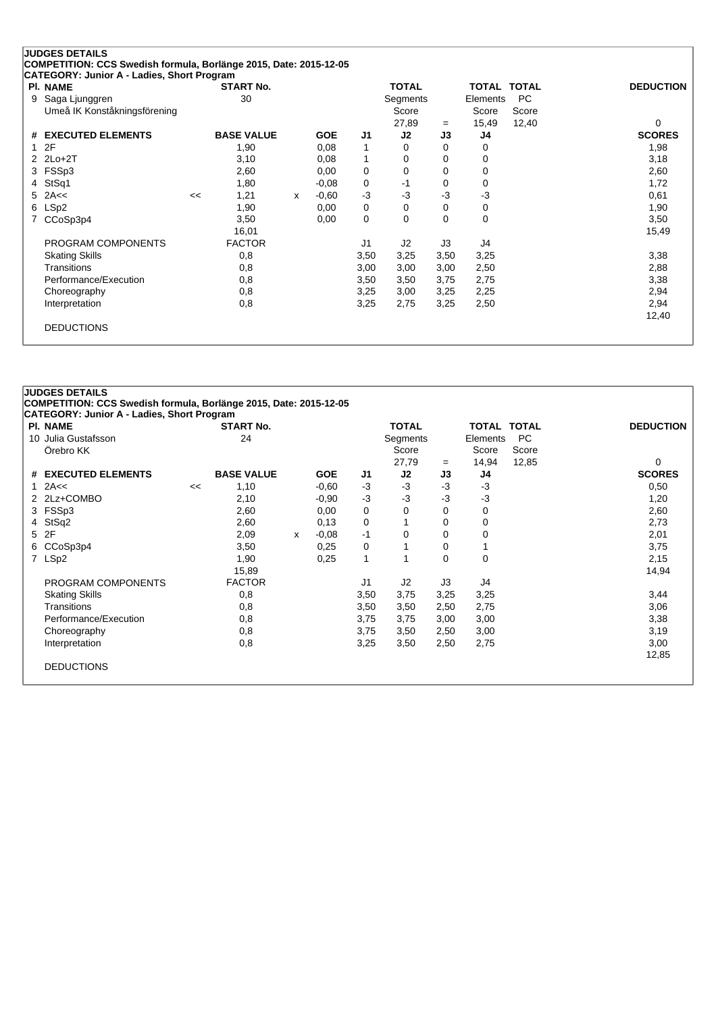| <b>PI. NAME</b>               |    | <b>START No.</b>  |   |            |                | <b>TOTAL</b> |           | <b>TOTAL</b> | <b>TOTAL</b> | <b>DEDUCTION</b> |
|-------------------------------|----|-------------------|---|------------|----------------|--------------|-----------|--------------|--------------|------------------|
| Saga Ljunggren<br>9           |    | 30                |   |            |                | Segments     |           | Elements     | PC.          |                  |
| Umeå IK Konståkningsförening  |    |                   |   |            |                | Score        |           | Score        | Score        | 0                |
| <b>EXECUTED ELEMENTS</b><br># |    | <b>BASE VALUE</b> |   | <b>GOE</b> | J1             | 27,89<br>J2  | $=$<br>J3 | 15,49<br>J4  | 12,40        | <b>SCORES</b>    |
| 2F<br>1.                      |    | 1,90              |   | 0,08       | 1              | 0            | 0         | 0            |              | 1,98             |
| 2 2Lo+2T                      |    | 3,10              |   | 0,08       | 1              | 0            | 0         | 0            |              | 3,18             |
| 3 FSSp3                       |    | 2,60              |   | 0,00       | 0              | 0            | 0         | 0            |              | 2,60             |
| StSq1<br>4                    |    | 1,80              |   | $-0,08$    | 0              | -1           | 0         | 0            |              | 1,72             |
| 2A<<<br>5.                    | << | 1,21              | x | $-0.60$    | $-3$           | $-3$         | -3        | $-3$         |              | 0,61             |
| LSp2<br>6                     |    | 1,90              |   | 0,00       | 0              | 0            | 0         | 0            |              | 1,90             |
| CCoSp3p4                      |    | 3,50              |   | 0,00       | 0              | 0            | 0         | 0            |              | 3,50             |
|                               |    | 16,01             |   |            |                |              |           |              |              | 15,49            |
| PROGRAM COMPONENTS            |    | <b>FACTOR</b>     |   |            | J <sub>1</sub> | J2           | J3        | J4           |              |                  |
| <b>Skating Skills</b>         |    | 0,8               |   |            | 3,50           | 3,25         | 3,50      | 3,25         |              | 3,38             |
| Transitions                   |    | 0,8               |   |            | 3,00           | 3,00         | 3,00      | 2,50         |              | 2,88             |
| Performance/Execution         |    | 0,8               |   |            | 3,50           | 3,50         | 3,75      | 2,75         |              | 3,38             |
| Choreography                  |    | 0,8               |   |            | 3,25           | 3,00         | 3,25      | 2,25         |              | 2,94             |
| Interpretation                |    | 0,8               |   |            | 3,25           | 2,75         | 3,25      | 2,50         |              | 2,94             |
|                               |    |                   |   |            |                |              |           |              |              | 12,40            |

# **COMPETITION: CCS Swedish formula, Borlänge 2015, Date: 2015-12-05 CATEGORY: Junior A - Ladies, Short Program Pl. NAME START No. TOTAL TOTAL TOTAL DEDUCTION** 10 Julia Gustafsson 24 Segments Elements PC Örebro KK Score Score Score Score Score Score Score Score Score Score Score Score Score Score Score Score Score 27,79 <sup>=</sup> 14,94 12,85 0 **# EXECUTED ELEMENTS BASE VALUE GOE J1 J2 J3 J4 SCORES** 1 2A<< << 1,10 -0,60 -3 -3 -3 -3 0,50 2 2Lz+COMBO 2,10 -0,90 -3 -3 -3 -3 -3 -3 1,20<br>2 2N 2,60 0,00 0 0 0 0 0 2,60 3 FSSp3 2,60 0,00 0 0 0 0 2,60 4 StSq2 2,60 0,13 0 1 0 0 2,73 5 2F 2,09 <sup>x</sup> -0,08 -1 0 0 0 2,01 6 CCoSp3p4 3,50 0,25 0 1 0 1 3,75 7 LSp2 1,90 0,25 1 1 0 0 2,15 15,89 14,94 PROGRAM COMPONENTS FACTOR UNIVERSITY OF A SERVICE SERVICE SERVICE SERVICE SERVICE SERVICE SERVICE SERVICE SERVICE SERVICE SERVICE SERVICE SERVICE SERVICE SERVICE SERVICE SERVICE SERVICE SERVICE SERVICE SERVICE SERVICE SERV Skating Skills 0,8 3,50 3,75 3,25 3,25 3,44 Transitions 0,8 3,50 3,50 2,50 2,75 3,06 Performance/Execution 0,8 0,8 3,75 3,75 3,00 3,00 3,00 3,10 Choreography 0,8 3,75 3,50 2,50 3,00 3,19 Interpretation 0,8 3,25 3,50 2,50 2,75 3,00 12,85 DEDUCTIONS

**JUDGES DETAILS**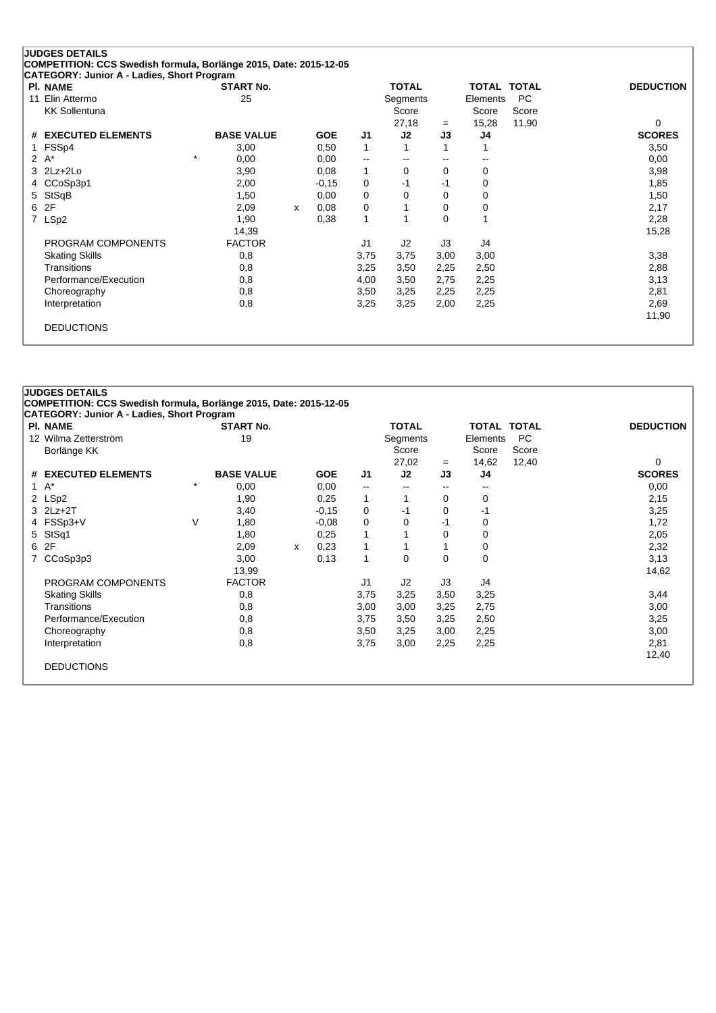| PI. NAME                 | <b>START No.</b>  |   |            |             | <b>TOTAL</b> |          | TOTAL TOTAL |           | <b>DEDUCTION</b> |
|--------------------------|-------------------|---|------------|-------------|--------------|----------|-------------|-----------|------------------|
| Elin Attermo<br>11       | 25                |   |            |             | Segments     |          | Elements    | <b>PC</b> |                  |
| <b>KK Sollentuna</b>     |                   |   |            |             | Score        |          | Score       | Score     |                  |
|                          |                   |   |            |             | 27,18        | $=$      | 15,28       | 11,90     | $\Omega$         |
| <b>EXECUTED ELEMENTS</b> | <b>BASE VALUE</b> |   | <b>GOE</b> | J1          | J2           | J3       | J4          |           | <b>SCORES</b>    |
| FSS <sub>p4</sub>        | 3,00              |   | 0,50       | $\mathbf 1$ |              |          |             |           | 3,50             |
| $2 A^*$                  | $\star$<br>0,00   |   | 0,00       | --          | --           | $- -$    | --          |           | 0,00             |
| $3$ $2Lz+2Lo$            | 3,90              |   | 0,08       | 1           | 0            | 0        | 0           |           | 3,98             |
| CCoSp3p1                 | 2,00              |   | $-0,15$    | 0           | $-1$         | $-1$     | 0           |           | 1,85             |
| StSqB<br>5               | 1,50              |   | 0,00       | 0           | 0            | $\Omega$ | 0           |           | 1,50             |
| 2F                       | 2,09              | X | 0,08       | 0           |              | 0        | 0           |           | 2,17             |
| LSp2                     | 1,90              |   | 0,38       | 1           |              | 0        |             |           | 2,28             |
|                          | 14,39             |   |            |             |              |          |             |           | 15,28            |
| PROGRAM COMPONENTS       | <b>FACTOR</b>     |   |            | J1          | J2           | J3       | J4          |           |                  |
| <b>Skating Skills</b>    | 0,8               |   |            | 3,75        | 3,75         | 3,00     | 3,00        |           | 3,38             |
| <b>Transitions</b>       | 0,8               |   |            | 3,25        | 3,50         | 2,25     | 2,50        |           | 2,88             |
| Performance/Execution    | 0,8               |   |            | 4,00        | 3,50         | 2,75     | 2,25        |           | 3,13             |
| Choreography             | 0,8               |   |            | 3,50        | 3,25         | 2,25     | 2,25        |           | 2,81             |
| Interpretation           | 0,8               |   |            | 3,25        | 3,25         | 2,00     | 2,25        |           | 2,69             |
|                          |                   |   |            |             |              |          |             |           | 11,90            |

# **COMPETITION: CCS Swedish formula, Borlänge 2015, Date: 2015-12-05 CATEGORY: Junior A - Ladies, Short Program Pl. NAME START No. TOTAL TOTAL TOTAL DEDUCTION** 12 Wilma Zetterström 19 Segments Elements PC Borlänge KK Score Score Score Score Score Score Score Score Score Score Score Score Score Score Score Score Score Score Score Score Score Score Score Score Score Score Score Score Score Score Score Score Score Score Score 27,02 = 14,62 12,40 0<br> **J2 J3 J4 SCORES # EXECUTED ELEMENTS BASE VALUE GOE J1 J2 J3 J4 SCORES** 1 A\* \* 0,00 0,00 -- -- -- -- 0,00 2 LSp2 1,90 0,25 1 1 0 0 2,15 3 2Lz+2T 3,40 -0,15 0 -1 0 -1 3,25 4 FSSp3+V V 1,80 -0,08 0 0 -1 0 1,72 5 StSq1 1,80 0,25 1 1 0 0 2,05 6 2F 2,09 <sup>x</sup> 0,23 1 1 1 0 2,32 7 CCoSp3p3 3,00 0,13 1 0 0 0 3,13 13,99 14,62 PROGRAM COMPONENTS FACTOR J1 J2 J3 J4 Skating Skills 0,8 3,75 3,25 3,50 3,25 3,44 Transitions 0,8 3,00 3,00 3,25 2,75 3,00 Performance/Execution 0,8 0,8 3,75 3,50 3,25 2,50 3,25 3,25 Choreography 0,8 3,50 3,25 3,00 2,25 3,00 Interpretation 0,8 3,75 3,00 2,25 2,25 2,81 12,40 DEDUCTIONS

**JUDGES DETAILS**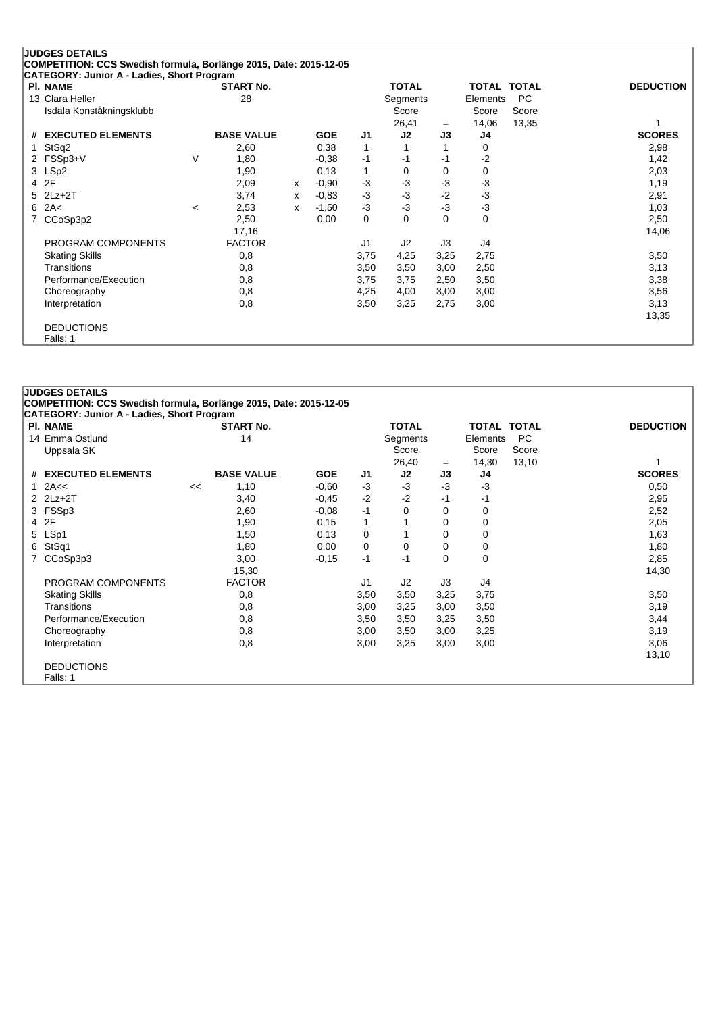|   | <b>JUDGES DETAILS</b>                                             |         |                   |   |            |                |              |      |             |           |                  |
|---|-------------------------------------------------------------------|---------|-------------------|---|------------|----------------|--------------|------|-------------|-----------|------------------|
|   | COMPETITION: CCS Swedish formula, Borlänge 2015, Date: 2015-12-05 |         |                   |   |            |                |              |      |             |           |                  |
|   | CATEGORY: Junior A - Ladies, Short Program                        |         |                   |   |            |                |              |      |             |           |                  |
|   | <b>PI. NAME</b>                                                   |         | <b>START No.</b>  |   |            |                | <b>TOTAL</b> |      | TOTAL TOTAL |           | <b>DEDUCTION</b> |
|   | 13 Clara Heller                                                   |         | 28                |   |            |                | Segments     |      | Elements    | <b>PC</b> |                  |
|   | Isdala Konståkningsklubb                                          |         |                   |   |            |                | Score        |      | Score       | Score     |                  |
|   |                                                                   |         |                   |   |            |                | 26,41        | $=$  | 14,06       | 13,35     |                  |
| # | <b>EXECUTED ELEMENTS</b>                                          |         | <b>BASE VALUE</b> |   | <b>GOE</b> | J1             | J2           | J3   | J4          |           | <b>SCORES</b>    |
| 1 | StSq2                                                             |         | 2,60              |   | 0,38       | 1              |              |      | 0           |           | 2,98             |
|   | 2 FSSp3+V                                                         | V       | 1,80              |   | $-0,38$    | -1             | -1           | -1   | $-2$        |           | 1,42             |
|   | 3 LSp2                                                            |         | 1,90              |   | 0,13       | $\mathbf{1}$   | 0            | 0    | 0           |           | 2,03             |
|   | 4 2F                                                              |         | 2,09              | X | $-0.90$    | $-3$           | -3           | $-3$ | $-3$        |           | 1,19             |
|   | $5$ 2Lz+2T                                                        |         | 3,74              | X | $-0.83$    | $-3$           | -3           | $-2$ | $-3$        |           | 2,91             |
|   | $6$ 2A<                                                           | $\,<\,$ | 2,53              | x | $-1,50$    | $-3$           | -3           | $-3$ | $-3$        |           | 1,03             |
| 7 | CCoSp3p2                                                          |         | 2,50              |   | 0,00       | 0              | $\Omega$     | 0    | 0           |           | 2,50             |
|   |                                                                   |         | 17,16             |   |            |                |              |      |             |           | 14,06            |
|   | PROGRAM COMPONENTS                                                |         | <b>FACTOR</b>     |   |            | J <sub>1</sub> | J2           | J3   | J4          |           |                  |
|   | <b>Skating Skills</b>                                             |         | 0,8               |   |            | 3,75           | 4,25         | 3,25 | 2,75        |           | 3,50             |
|   | <b>Transitions</b>                                                |         | 0,8               |   |            | 3,50           | 3,50         | 3,00 | 2,50        |           | 3,13             |
|   | Performance/Execution                                             |         | 0,8               |   |            | 3,75           | 3,75         | 2,50 | 3,50        |           | 3,38             |
|   | Choreography                                                      |         | 0,8               |   |            | 4,25           | 4,00         | 3,00 | 3,00        |           | 3,56             |
|   | Interpretation                                                    |         | 0,8               |   |            | 3,50           | 3,25         | 2,75 | 3,00        |           | 3,13             |
|   |                                                                   |         |                   |   |            |                |              |      |             |           | 13,35            |
|   | <b>DEDUCTIONS</b>                                                 |         |                   |   |            |                |              |      |             |           |                  |
|   | Falls: 1                                                          |         |                   |   |            |                |              |      |             |           |                  |

#### **JUDGES DETAILS**

**COMPETITION: CCS Swedish formula, Borlänge 2015, Date: 2015-12-05**

| CATEGORY: Junior A - Ladies, Short Program |    |                   |            |                |              |          |                    |           |                  |
|--------------------------------------------|----|-------------------|------------|----------------|--------------|----------|--------------------|-----------|------------------|
| <b>PI. NAME</b>                            |    | <b>START No.</b>  |            |                | <b>TOTAL</b> |          | <b>TOTAL TOTAL</b> |           | <b>DEDUCTION</b> |
| 14 Emma Östlund                            |    | 14                |            |                | Segments     |          | Elements           | <b>PC</b> |                  |
| Uppsala SK                                 |    |                   |            |                | Score        |          | Score              | Score     |                  |
|                                            |    |                   |            |                | 26,40        | $=$      | 14,30              | 13,10     |                  |
| # EXECUTED ELEMENTS                        |    | <b>BASE VALUE</b> | <b>GOE</b> | J1             | J2           | J3       | J4                 |           | <b>SCORES</b>    |
| $1$ 2A $\leq$                              | << | 1,10              | $-0.60$    | $-3$           | $-3$         | $-3$     | $-3$               |           | 0,50             |
| $2$ $2Lz+2T$                               |    | 3,40              | $-0.45$    | $-2$           | $-2$         | -1       | -1                 |           | 2,95             |
| 3 FSSp3                                    |    | 2,60              | $-0,08$    | $-1$           | 0            | 0        | 0                  |           | 2,52             |
| 4 2F                                       |    | 1,90              | 0,15       | 1              |              | 0        | 0                  |           | 2,05             |
| 5 LSp1                                     |    | 1,50              | 0,13       | 0              |              | 0        | 0                  |           | 1,63             |
| 6 StSq1                                    |    | 1,80              | 0,00       | 0              | 0            | 0        | 0                  |           | 1,80             |
| 7 CCoSp3p3                                 |    | 3,00              | $-0,15$    | $-1$           | -1           | $\Omega$ | 0                  |           | 2,85             |
|                                            |    | 15,30             |            |                |              |          |                    |           | 14,30            |
| PROGRAM COMPONENTS                         |    | <b>FACTOR</b>     |            | J <sub>1</sub> | J2           | J3       | J4                 |           |                  |
| <b>Skating Skills</b>                      |    | 0,8               |            | 3,50           | 3,50         | 3,25     | 3,75               |           | 3,50             |
| Transitions                                |    | 0,8               |            | 3,00           | 3,25         | 3,00     | 3,50               |           | 3,19             |
| Performance/Execution                      |    | 0,8               |            | 3,50           | 3,50         | 3,25     | 3,50               |           | 3,44             |
| Choreography                               |    | 0,8               |            | 3,00           | 3,50         | 3,00     | 3,25               |           | 3,19             |
| Interpretation                             |    | 0,8               |            | 3,00           | 3,25         | 3,00     | 3,00               |           | 3,06             |
|                                            |    |                   |            |                |              |          |                    |           | 13,10            |
| <b>DEDUCTIONS</b>                          |    |                   |            |                |              |          |                    |           |                  |
| Falls: 1                                   |    |                   |            |                |              |          |                    |           |                  |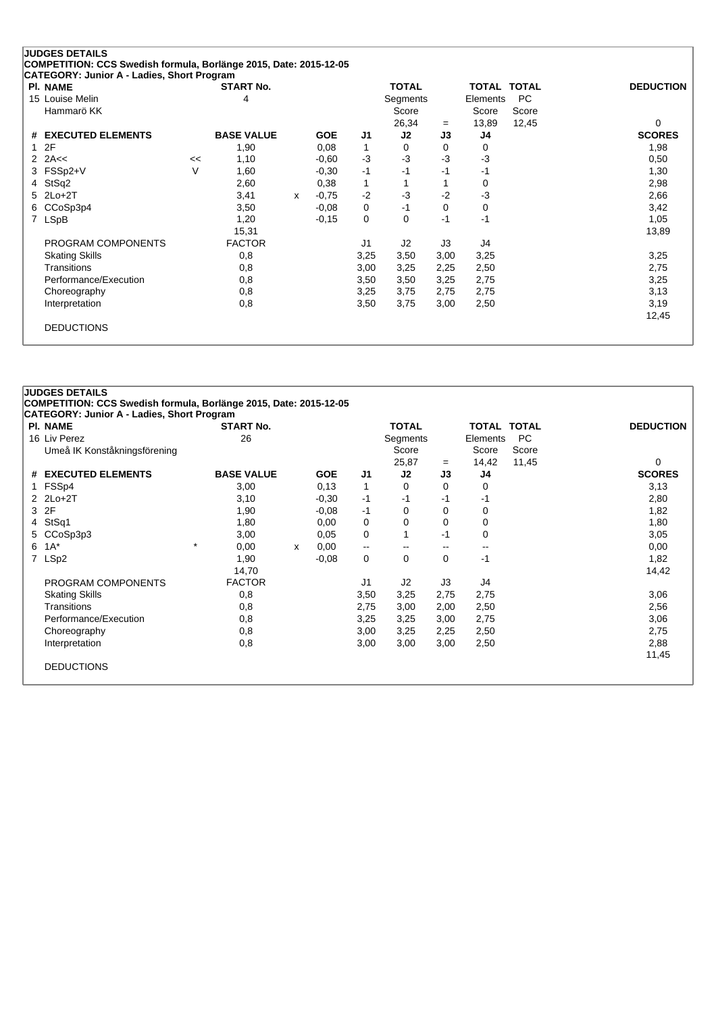| <b>PI. NAME</b>               |    | <b>START No.</b>  |              |            |              | <b>TOTAL</b> |          | <b>TOTAL TOTAL</b> |       | <b>DEDUCTION</b> |
|-------------------------------|----|-------------------|--------------|------------|--------------|--------------|----------|--------------------|-------|------------------|
| 15 Louise Melin               |    | 4                 |              |            |              | Segments     |          | Elements           | PC    |                  |
| Hammarö KK                    |    |                   |              |            |              | Score        |          | Score              | Score |                  |
|                               |    |                   |              |            |              | 26,34        | $=$      | 13,89              | 12,45 | $\Omega$         |
| <b>EXECUTED ELEMENTS</b><br># |    | <b>BASE VALUE</b> |              | <b>GOE</b> | J1           | J2           | J3       | J4                 |       | <b>SCORES</b>    |
| 2F                            |    | 1,90              |              | 0,08       | $\mathbf{1}$ | $\Omega$     | $\Omega$ | 0                  |       | 1,98             |
| 2A<<<br>2                     | << | 1,10              |              | $-0.60$    | $-3$         | $-3$         | -3       | -3                 |       | 0,50             |
| FSSp2+V<br>3.                 | V  | 1,60              |              | $-0,30$    | $-1$         | -1           | -1       | -1                 |       | 1,30             |
| StSq2<br>4                    |    | 2,60              |              | 0,38       | 1            |              |          | 0                  |       | 2,98             |
| $2Lo+2T$<br>5                 |    | 3,41              | $\mathsf{x}$ | $-0.75$    | $-2$         | $-3$         | $-2$     | -3                 |       | 2,66             |
| CCoSp3p4<br>6.                |    | 3,50              |              | $-0.08$    | 0            | -1           | 0        | 0                  |       | 3,42             |
| <b>LSpB</b><br>7              |    | 1,20              |              | $-0,15$    | 0            | 0            | $-1$     | $-1$               |       | 1,05             |
|                               |    | 15,31             |              |            |              |              |          |                    |       | 13,89            |
| PROGRAM COMPONENTS            |    | <b>FACTOR</b>     |              |            | J1           | J2           | J3       | J4                 |       |                  |
| <b>Skating Skills</b>         |    | 0,8               |              |            | 3,25         | 3,50         | 3,00     | 3,25               |       | 3,25             |
| Transitions                   |    | 0,8               |              |            | 3,00         | 3,25         | 2,25     | 2,50               |       | 2,75             |
| Performance/Execution         |    | 0,8               |              |            | 3,50         | 3,50         | 3,25     | 2,75               |       | 3,25             |
| Choreography                  |    | 0,8               |              |            | 3,25         | 3,75         | 2,75     | 2,75               |       | 3,13             |
| Interpretation                |    | 0,8               |              |            | 3,50         | 3,75         | 3,00     | 2,50               |       | 3,19             |
|                               |    |                   |              |            |              |              |          |                    |       | 12,45            |

# **JUDGES DETAILS COMPETITION: CCS Swedish formula, Borlänge 2015, Date: 2015-12-05 CATEGORY: Junior A - Ladies, Short Program Pl. NAME START No. TOTAL TOTAL TOTAL DEDUCTION** 16 Liv Perez Charles Begments Alexander 26 Charles Segments Elements PC<br>
26 Core Score Score Score Score Score Score Score Score Score Score Score Score Score Score Score Score Score Umeå IK Konståkningsförening Score Score Score Score Score Score Score Score Score Score Score Score Score Score 25,87 <sup>=</sup> 14,42 11,45 0 **# EXECUTED ELEMENTS BASE VALUE GOE J1 J2 J3 J4 SCORES** 1 FSSp4 3,00 0,13 1 0 0 0 3,13 2 2Lo+2T 3,10 -0,30 -1 -1 -1 -1 2,80 3 2F 1,90 -0,08 -1 0 0 0 1,82 4 StSq1 1,80 0,00 0 0 0 0 1,80 5 CCoSp3p3 3,00 3,00 6,05 0 1 -1 0 3,05 3,05  $6 \t1A^*$   $\t\quad \atop{0.00}$   $\times$   $0,00$   $\t\quad \t\quad \t\quad \t\quad \t\quad \t\quad \t\quad \t\quad 0,00$ 7 LSp2 1,90 -0,08 0 0 1 1,82 14,70 14,42 PROGRAM COMPONENTS FACTOR UNIVERSITY OF A SERVICE SERVICE SERVICE SERVICE SERVICE SERVICE SERVICE SERVICE SERVICE SERVICE SERVICE SERVICE SERVICE SERVICE SERVICE SERVICE SERVICE SERVICE SERVICE SERVICE SERVICE SERVICE SERV Skating Skills 0,8 3,50 3,25 2,75 3,06 Transitions 0,8 2,75 3,00 2,00 2,50 2,56 Performance/Execution 0,8 0,8 3,25 3,25 3,00 2,75 3,06 3,06 Choreography 0,8 3,00 3,25 2,25 2,50 2,75 Interpretation 0,8 3,00 3,00 3,00 2,50 2,88 11,45 DEDUCTIONS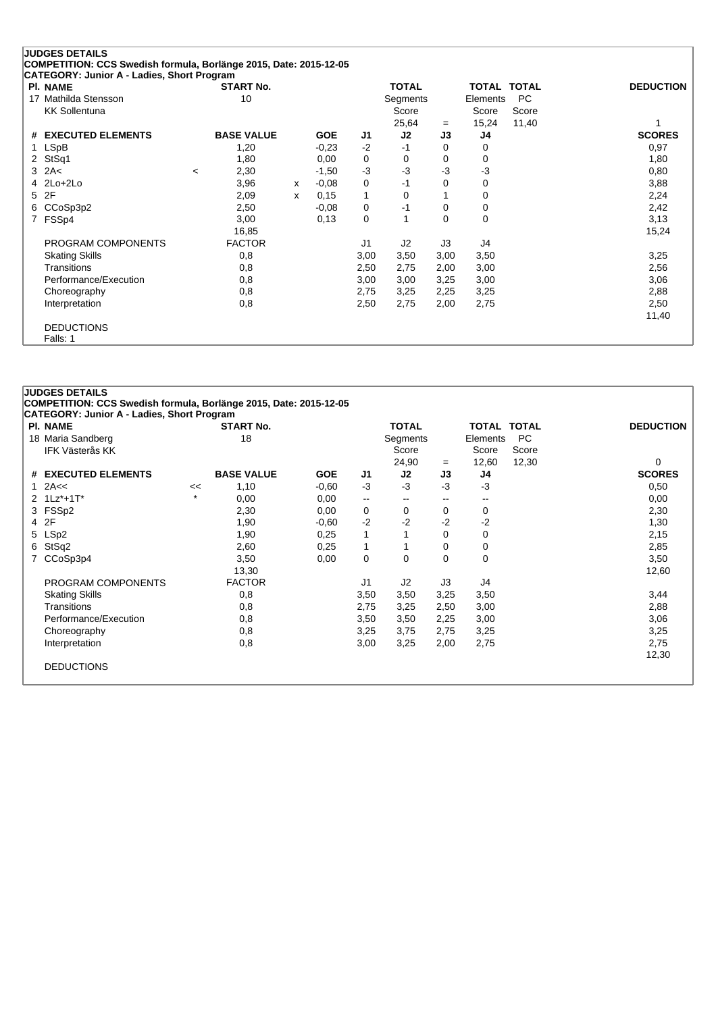|    | <b>JUDGES DETAILS</b>                                                |                        |   |            |                |              |      |                         |       |                  |
|----|----------------------------------------------------------------------|------------------------|---|------------|----------------|--------------|------|-------------------------|-------|------------------|
|    | COMPETITION: CCS Swedish formula, Borlänge 2015, Date: 2015-12-05    |                        |   |            |                |              |      |                         |       |                  |
|    | <b>CATEGORY: Junior A - Ladies, Short Program</b><br><b>PI. NAME</b> |                        |   |            |                | <b>TOTAL</b> |      |                         |       | <b>DEDUCTION</b> |
| 17 | Mathilda Stensson                                                    | <b>START No.</b><br>10 |   |            |                | Segments     |      | TOTAL TOTAL<br>Elements | PC.   |                  |
|    | <b>KK Sollentuna</b>                                                 |                        |   |            |                | Score        |      | Score                   | Score |                  |
|    |                                                                      |                        |   |            |                | 25,64        | $=$  | 15,24                   | 11,40 |                  |
|    | # EXECUTED ELEMENTS                                                  | <b>BASE VALUE</b>      |   | <b>GOE</b> | J1             | J2           | J3   | J4                      |       | <b>SCORES</b>    |
| 1. | LSpB                                                                 | 1,20                   |   | $-0,23$    | $-2$           | -1           | 0    | 0                       |       | 0,97             |
|    | 2 StSq1                                                              | 1,80                   |   | 0,00       | 0              | 0            | 0    | 0                       |       | 1,80             |
|    | $3$ 2A<                                                              | 2,30<br>$\,<\,$        |   | $-1,50$    | $-3$           | $-3$         | -3   | -3                      |       | 0,80             |
|    | 4 2Lo+2Lo                                                            | 3,96                   | X | $-0,08$    | 0              | $-1$         | 0    | 0                       |       | 3,88             |
|    | 5 2F                                                                 | 2,09                   | x | 0,15       | 1              | 0            |      | 0                       |       | 2,24             |
|    | 6 CCoSp3p2                                                           | 2,50                   |   | $-0,08$    | 0              | -1           | 0    | 0                       |       | 2,42             |
| 7  | FSSp4                                                                | 3,00                   |   | 0,13       | 0              |              | 0    | 0                       |       | 3,13             |
|    |                                                                      | 16,85                  |   |            |                |              |      |                         |       | 15,24            |
|    | PROGRAM COMPONENTS                                                   | <b>FACTOR</b>          |   |            | J <sub>1</sub> | J2           | J3   | J4                      |       |                  |
|    | <b>Skating Skills</b>                                                | 0,8                    |   |            | 3,00           | 3,50         | 3,00 | 3,50                    |       | 3,25             |
|    | Transitions                                                          | 0,8                    |   |            | 2,50           | 2,75         | 2,00 | 3,00                    |       | 2,56             |
|    | Performance/Execution                                                | 0,8                    |   |            | 3,00           | 3,00         | 3,25 | 3,00                    |       | 3,06             |
|    | Choreography                                                         | 0,8                    |   |            | 2,75           | 3,25         | 2,25 | 3,25                    |       | 2,88             |
|    | Interpretation                                                       | 0,8                    |   |            | 2,50           | 2,75         | 2,00 | 2,75                    |       | 2,50             |
|    |                                                                      |                        |   |            |                |              |      |                         |       | 11,40            |
|    | <b>DEDUCTIONS</b>                                                    |                        |   |            |                |              |      |                         |       |                  |
|    | Falls: 1                                                             |                        |   |            |                |              |      |                         |       |                  |

#### **JUDGES DETAILS COMPETITION: CCS Swedish formula, Borlänge 2015, Date: 2015-12-05**

| <b>PI. NAME</b>        |    | <b>START No.</b>  |            |                          | <b>TOTAL</b>             |                          | <b>TOTAL TOTAL</b>       |       | <b>DEDUCTION</b> |
|------------------------|----|-------------------|------------|--------------------------|--------------------------|--------------------------|--------------------------|-------|------------------|
| 18 Maria Sandberg      |    | 18                |            |                          | Segments                 |                          | Elements                 | PC.   |                  |
| <b>IFK Västerås KK</b> |    |                   |            |                          | Score                    |                          | Score                    | Score |                  |
|                        |    |                   |            |                          | 24,90                    | $=$                      | 12,60                    | 12,30 | 0                |
| # EXECUTED ELEMENTS    |    | <b>BASE VALUE</b> | <b>GOE</b> | J1                       | J2                       | J3                       | J4                       |       | <b>SCORES</b>    |
| 1 $2A <$               | << | 1,10              | $-0.60$    | $-3$                     | $-3$                     | -3                       | $-3$                     |       | 0,50             |
| 2 1Lz*+1T*             | ÷  | 0,00              | 0,00       | $\overline{\phantom{m}}$ | $\overline{\phantom{m}}$ | $\overline{\phantom{m}}$ | $\overline{\phantom{m}}$ |       | 0,00             |
| 3 FSSp2                |    | 2,30              | 0,00       | 0                        | 0                        | 0                        | 0                        |       | 2,30             |
| 4 2F                   |    | 1,90              | $-0.60$    | $-2$                     | $-2$                     | -2                       | $-2$                     |       | 1,30             |
| 5 LSp2                 |    | 1,90              | 0,25       | $\mathbf{1}$             |                          | 0                        | 0                        |       | 2,15             |
| 6 StSq2                |    | 2,60              | 0,25       | 1                        |                          | 0                        | 0                        |       | 2,85             |
| 7 CCoSp3p4             |    | 3,50              | 0,00       | 0                        | 0                        | $\Omega$                 | 0                        |       | 3,50             |
|                        |    | 13,30             |            |                          |                          |                          |                          |       | 12,60            |
| PROGRAM COMPONENTS     |    | <b>FACTOR</b>     |            | J <sub>1</sub>           | J2                       | J3                       | J4                       |       |                  |
| <b>Skating Skills</b>  |    | 0,8               |            | 3,50                     | 3,50                     | 3,25                     | 3,50                     |       | 3,44             |
| Transitions            |    | 0,8               |            | 2,75                     | 3,25                     | 2,50                     | 3,00                     |       | 2,88             |
| Performance/Execution  |    | 0,8               |            | 3,50                     | 3,50                     | 2,25                     | 3,00                     |       | 3,06             |
| Choreography           |    | 0,8               |            | 3,25                     | 3,75                     | 2,75                     | 3,25                     |       | 3,25             |
| Interpretation         |    | 0,8               |            | 3,00                     | 3,25                     | 2,00                     | 2,75                     |       | 2,75             |
|                        |    |                   |            |                          |                          |                          |                          |       | 12,30            |
| <b>DEDUCTIONS</b>      |    |                   |            |                          |                          |                          |                          |       |                  |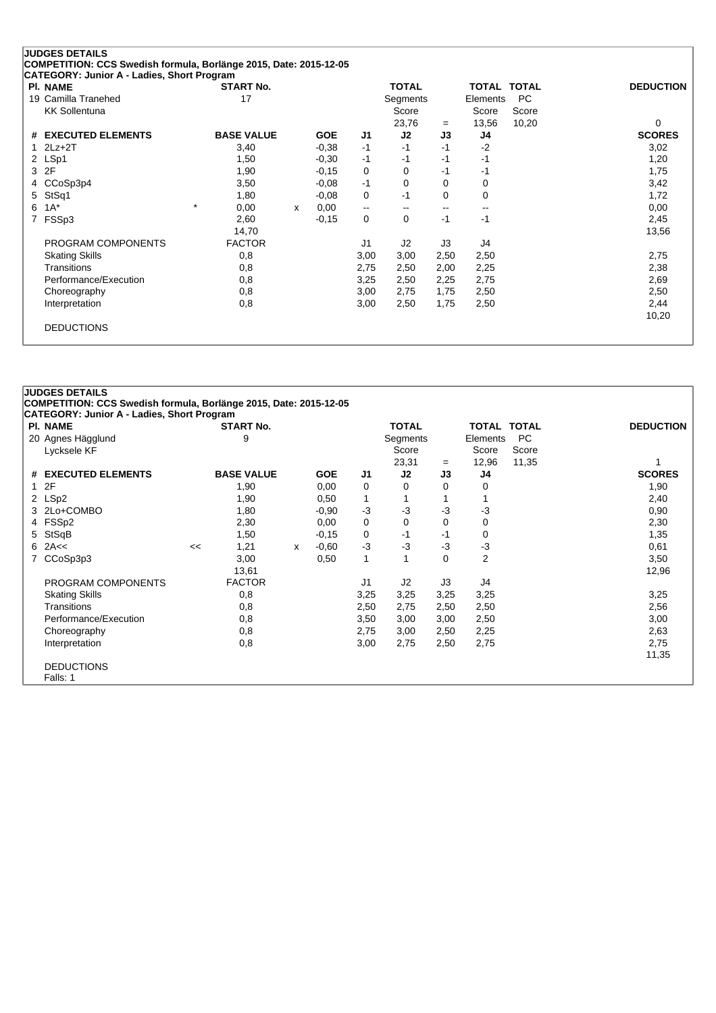| <b>PI. NAME</b>               | <b>START No.</b>  |   |            |                          | <b>TOTAL</b> |          | <b>TOTAL TOTAL</b>       |           | <b>DEDUCTION</b> |
|-------------------------------|-------------------|---|------------|--------------------------|--------------|----------|--------------------------|-----------|------------------|
| 19 Camilla Tranehed           | 17                |   |            |                          | Segments     |          | Elements                 | <b>PC</b> |                  |
| <b>KK Sollentuna</b>          |                   |   |            |                          | Score        |          | Score                    | Score     |                  |
|                               |                   |   |            |                          | 23,76        | $=$      | 13,56                    | 10,20     | $\Omega$         |
| <b>EXECUTED ELEMENTS</b><br># | <b>BASE VALUE</b> |   | <b>GOE</b> | J1                       | J2           | J3       | J4                       |           | <b>SCORES</b>    |
| $2Lz+2T$                      | 3,40              |   | $-0,38$    | $-1$                     | $-1$         | $-1$     | $-2$                     |           | 3,02             |
| LSp1<br>$\mathbf{2}$          | 1,50              |   | $-0,30$    | -1                       | $-1$         | -1       | -1                       |           | 1,20             |
| 2F<br>3                       | 1,90              |   | $-0,15$    | 0                        | $\Omega$     | $-1$     | -1                       |           | 1,75             |
| CCoSp3p4<br>4                 | 3,50              |   | $-0.08$    | $-1$                     | $\Omega$     | $\Omega$ | 0                        |           | 3,42             |
| StSq1<br>5                    | 1,80              |   | $-0.08$    | 0                        | -1           | $\Omega$ | 0                        |           | 1,72             |
| $1A^*$<br>6                   | $\star$<br>0,00   | X | 0,00       | $\overline{\phantom{a}}$ |              | --       | $\overline{\phantom{m}}$ |           | 0,00             |
| FSSp3<br>7                    | 2,60              |   | $-0,15$    | 0                        | 0            | $-1$     | $-1$                     |           | 2,45             |
|                               | 14,70             |   |            |                          |              |          |                          |           | 13,56            |
| PROGRAM COMPONENTS            | <b>FACTOR</b>     |   |            | J1                       | J2           | J3       | J4                       |           |                  |
| <b>Skating Skills</b>         | 0,8               |   |            | 3,00                     | 3,00         | 2,50     | 2,50                     |           | 2,75             |
| <b>Transitions</b>            | 0,8               |   |            | 2,75                     | 2,50         | 2,00     | 2,25                     |           | 2,38             |
| Performance/Execution         | 0,8               |   |            | 3,25                     | 2,50         | 2,25     | 2,75                     |           | 2,69             |
| Choreography                  | 0,8               |   |            | 3,00                     | 2,75         | 1,75     | 2,50                     |           | 2,50             |
| Interpretation                | 0,8               |   |            | 3,00                     | 2,50         | 1,75     | 2,50                     |           | 2,44             |
|                               |                   |   |            |                          |              |          |                          |           | 10,20            |

#### **JUDGES DETAILS COMPETITION: CCS Swedish formula, Borlänge 2015, Date: 2015-12-05 CATEGORY: Junior A - Ladies, Short Program Pl. NAME START No. TOTAL TOTAL TOTAL DEDUCTION** 20 Agnes Hägglund 19 and 19 and 19 and 19 and 19 agnes Segments Elements PC and 19 and 19 and 19 and 19 and 19 and 19 and 19 and 19 and 19 and 19 and 19 and 19 and 19 and 19 and 19 and 19 and 19 and 19 and 19 and 19 and 19 Lycksele KF Score Score Score Score Score Score Score Score Score Score Score Score Score Score Score Score Score Score Score Score Score Score Score Score Score Score Score Score Score Score Score Score Score Score Score 23,31 <sup>=</sup> 12,96 11,35 1 **# EXECUTED ELEMENTS BASE VALUE GOE J1 J2 J3 J4 SCORES** 1 2F 1,90 0,00 0 0 0 0 1,90 2 LSp2 1,90 0,50 1 1 1 1 2,40 3 2Lo+COMBO 1,80 -0,90 -3 -3 -3 -3 0,90 4 FSSp2 2,30 0,00 0 0 0 0 2,30 5 StSqB 1,50 -0,15 0 -1 -1 0 1,35 6 2A<< << 1,21 <sup>x</sup> -0,60 -3 -3 -3 -3 0,61 7 CCoSp3p3 3,00 3,00 6,50 1 1 0 2 3,50 13,61 12,96 PROGRAM COMPONENTS FACTOR J1 J2 J3 J4 Skating Skills 0,8 3,25 3,25 3,25 3,25 3,25 Transitions 0,8 2,50 2,75 2,50 2,50 2,56 Performance/Execution 0,8 0,8 3,50 3,00 3,00 2,50 3,00 3,00 3,00 Choreography 0,8 2,75 3,00 2,50 2,25 2,63 Interpretation 0,8 3,00 2,75 2,50 2,75 2,75 11,35 DEDUCTIONS Falls: 1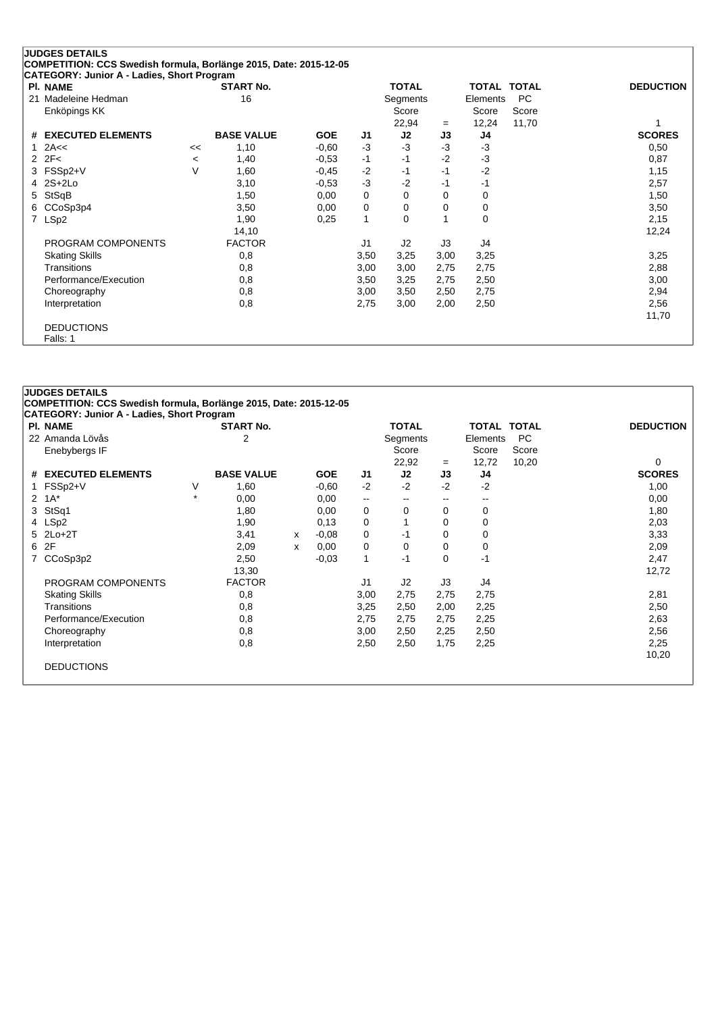|                | <b>JUDGES DETAILS</b>                                             |         |                   |            |      |              |      |             |           |                  |
|----------------|-------------------------------------------------------------------|---------|-------------------|------------|------|--------------|------|-------------|-----------|------------------|
|                | COMPETITION: CCS Swedish formula, Borlänge 2015, Date: 2015-12-05 |         |                   |            |      |              |      |             |           |                  |
|                | CATEGORY: Junior A - Ladies, Short Program<br><b>PI. NAME</b>     |         | <b>START No.</b>  |            |      | <b>TOTAL</b> |      | TOTAL TOTAL |           | <b>DEDUCTION</b> |
| 21             | Madeleine Hedman                                                  |         | 16                |            |      | Segments     |      | Elements    | <b>PC</b> |                  |
|                | Enköpings KK                                                      |         |                   |            |      | Score        |      | Score       | Score     |                  |
|                |                                                                   |         |                   |            |      | 22,94        | $=$  | 12,24       | 11,70     |                  |
|                | # EXECUTED ELEMENTS                                               |         | <b>BASE VALUE</b> | <b>GOE</b> | J1   | J2           | J3   | J4          |           | <b>SCORES</b>    |
|                | 2A<<                                                              | <<      | 1,10              | $-0,60$    | $-3$ | $-3$         | $-3$ | $-3$        |           | 0,50             |
|                | $2$ $2F<$                                                         | $\,<\,$ | 1,40              | $-0.53$    | $-1$ | $-1$         | $-2$ | $-3$        |           | 0,87             |
|                | 3 FSSp2+V                                                         | $\vee$  | 1,60              | $-0,45$    | $-2$ | $-1$         | $-1$ | $-2$        |           | 1,15             |
|                | 4 2S+2Lo                                                          |         | 3,10              | $-0,53$    | $-3$ | $-2$         | $-1$ | $-1$        |           | 2,57             |
|                | 5 StSqB                                                           |         | 1,50              | 0,00       | 0    | 0            | 0    | 0           |           | 1,50             |
|                | 6 CCoSp3p4                                                        |         | 3,50              | 0,00       | 0    | 0            | 0    | 0           |           | 3,50             |
| $\overline{7}$ | LSp2                                                              |         | 1,90              | 0,25       | 1    | 0            |      | 0           |           | 2,15             |
|                |                                                                   |         | 14,10             |            |      |              |      |             |           | 12,24            |
|                | PROGRAM COMPONENTS                                                |         | <b>FACTOR</b>     |            | J1   | J2           | J3   | J4          |           |                  |
|                | <b>Skating Skills</b>                                             |         | 0,8               |            | 3,50 | 3,25         | 3,00 | 3,25        |           | 3,25             |
|                | Transitions                                                       |         | 0,8               |            | 3,00 | 3,00         | 2,75 | 2,75        |           | 2,88             |
|                | Performance/Execution                                             |         | 0,8               |            | 3,50 | 3,25         | 2,75 | 2,50        |           | 3,00             |
|                | Choreography                                                      |         | 0,8               |            | 3,00 | 3,50         | 2,50 | 2,75        |           | 2,94             |
|                | Interpretation                                                    |         | 0,8               |            | 2,75 | 3,00         | 2,00 | 2,50        |           | 2,56             |
|                |                                                                   |         |                   |            |      |              |      |             |           | 11,70            |
|                | <b>DEDUCTIONS</b>                                                 |         |                   |            |      |              |      |             |           |                  |
|                | Falls: 1                                                          |         |                   |            |      |              |      |             |           |                  |

# **JUDGES DETAILS COMPETITION: CCS Swedish formula, Borlänge 2015, Date: 2015-12-05 CATEGORY: Junior A - Ladies, Short Program Pl. NAME START No. TOTAL TOTAL TOTAL DEDUCTION** 22 Amanda Lövås 2 Segments Elements PC Enebybergs IF Score Score Score 22,92 <sup>=</sup> 12,72 10,20 0 **# EXECUTED ELEMENTS BASE VALUE GOE J1 J2 J3 J4 SCORES** 1 FSSp2+V V 1,60 -0,60 -2 -2 -2 -2 1,00  $2 \ \ 1\text{A}^{\star}$  , and  $\pi$  , and  $\pi$  ,  $\pi$  ,  $\pi$  ,  $\pi$  ,  $\pi$  ,  $\pi$  ,  $\pi$  ,  $\pi$  ,  $\pi$  ,  $\pi$  ,  $\pi$  ,  $\pi$  ,  $\pi$  ,  $\pi$  ,  $\pi$  ,  $\pi$  ,  $\pi$  ,  $\pi$  ,  $\pi$  ,  $\pi$  ,  $\pi$  ,  $\pi$  ,  $\pi$  ,  $\pi$  ,  $\pi$  ,  $\pi$  ,  $\pi$  3 StSq1 1,80 0,00 0 0 0 0 1,80 4 LSp2 1,90 0,13 0 1 0 2,03 5 2Lo+2T 3,41 <sup>x</sup> -0,08 0 -1 0 0 3,33 6 2F 2,09 <sup>x</sup> 0,00 0 0 0 0 2,09 7 CCoSp3p2 2,50 -0,03 1 -1 0 -1 2,47 13,30 12,72 PROGRAM COMPONENTS FACTOR UNIVERSITY OF A SERVICE SERVICE SERVICE SERVICE SERVICE SERVICE SERVICE SERVICE SERVICE SERVICE SERVICE SERVICE SERVICE SERVICE SERVICE SERVICE SERVICE SERVICE SERVICE SERVICE SERVICE SERVICE SERV Skating Skills 0,8 3,00 2,75 2,75 2,75 2,81 Transitions 0,8 3,25 2,50 2,00 2,25 2,50 Performance/Execution 0,8 0,8 2,75 2,75 2,75 2,25 2,25 2,63 Choreography 0,8 3,00 2,50 2,25 2,50 2,56 Interpretation 0,8 2,50 2,50 1,75 2,25 2,25 10,20 DEDUCTIONS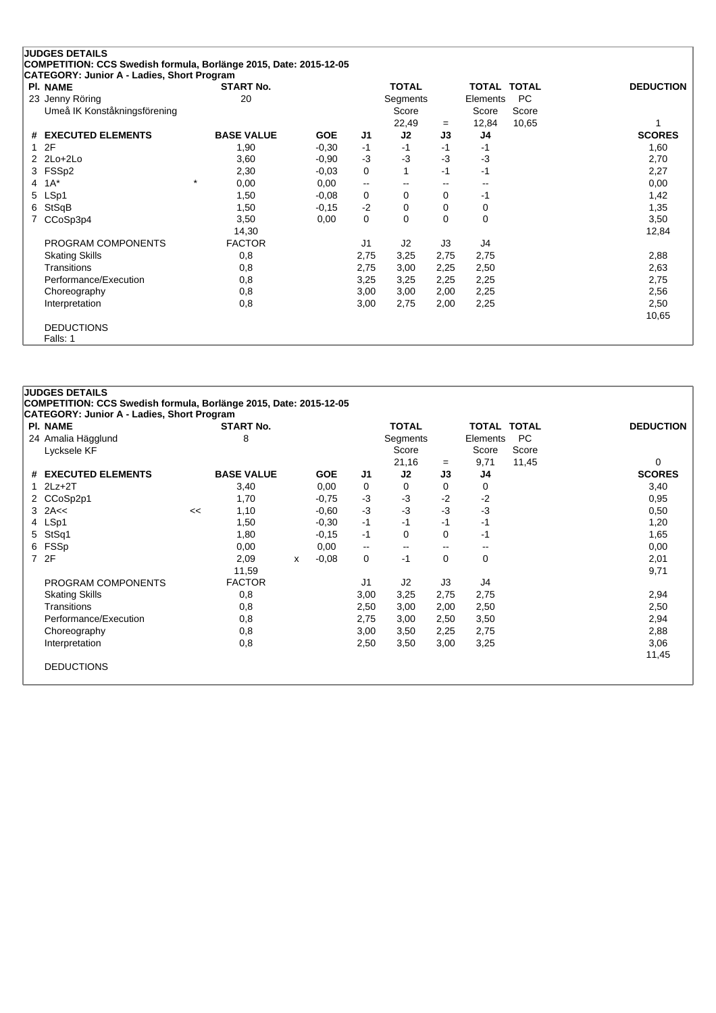|              | <b>JUDGES DETAILS</b>                                             |                   |            |                          |              |      |             |           |                  |
|--------------|-------------------------------------------------------------------|-------------------|------------|--------------------------|--------------|------|-------------|-----------|------------------|
|              | COMPETITION: CCS Swedish formula, Borlänge 2015, Date: 2015-12-05 |                   |            |                          |              |      |             |           |                  |
|              | CATEGORY: Junior A - Ladies, Short Program                        |                   |            |                          |              |      |             |           |                  |
|              | <b>PI. NAME</b>                                                   | <b>START No.</b>  |            |                          | <b>TOTAL</b> |      | TOTAL TOTAL |           | <b>DEDUCTION</b> |
|              | 23 Jenny Röring                                                   | 20                |            |                          | Segments     |      | Elements    | <b>PC</b> |                  |
|              | Umeå IK Konståkningsförening                                      |                   |            |                          | Score        |      | Score       | Score     |                  |
|              |                                                                   |                   |            |                          | 22,49        | $=$  | 12,84       | 10,65     |                  |
| #            | <b>EXECUTED ELEMENTS</b>                                          | <b>BASE VALUE</b> | <b>GOE</b> | J1                       | J2           | J3   | J4          |           | <b>SCORES</b>    |
| $\mathbf{1}$ | 2F                                                                | 1,90              | $-0.30$    | $-1$                     | $-1$         | -1   | -1          |           | 1,60             |
|              | $2$ $2$ $Lo+2$ $Lo+2$                                             | 3,60              | $-0,90$    | $-3$                     | -3           | $-3$ | $-3$        |           | 2,70             |
|              | 3 FSSp2                                                           | 2,30              | $-0,03$    | 0                        |              | $-1$ | $-1$        |           | 2,27             |
| 4            | $1A^*$                                                            | $^\star$<br>0,00  | 0,00       | $\overline{\phantom{a}}$ |              | --   | --          |           | 0,00             |
|              | 5 LSp1                                                            | 1,50              | $-0.08$    | 0                        | 0            | 0    | -1          |           | 1,42             |
| 6            | StSqB                                                             | 1,50              | $-0,15$    | $-2$                     | 0            | 0    | 0           |           | 1,35             |
|              | CCoSp3p4                                                          | 3,50              | 0,00       | 0                        | $\Omega$     | 0    | 0           |           | 3,50             |
|              |                                                                   | 14,30             |            |                          |              |      |             |           | 12,84            |
|              | PROGRAM COMPONENTS                                                | <b>FACTOR</b>     |            | J <sub>1</sub>           | J2           | J3   | J4          |           |                  |
|              | <b>Skating Skills</b>                                             | 0,8               |            | 2,75                     | 3,25         | 2,75 | 2,75        |           | 2,88             |
|              | Transitions                                                       | 0,8               |            | 2,75                     | 3,00         | 2,25 | 2,50        |           | 2,63             |
|              | Performance/Execution                                             | 0,8               |            | 3,25                     | 3,25         | 2,25 | 2,25        |           | 2,75             |
|              | Choreography                                                      | 0,8               |            | 3,00                     | 3,00         | 2,00 | 2,25        |           | 2,56             |
|              | Interpretation                                                    | 0,8               |            | 3,00                     | 2,75         | 2,00 | 2,25        |           | 2,50             |
|              |                                                                   |                   |            |                          |              |      |             |           | 10,65            |
|              | <b>DEDUCTIONS</b>                                                 |                   |            |                          |              |      |             |           |                  |
|              | Falls: 1                                                          |                   |            |                          |              |      |             |           |                  |

#### **JUDGES DETAILS COMPETITION: CCS Swedish formula, Borlänge 2015, Date: 2015-12-05 CATEGORY: Junior A - Ladies, Short Program**

| <b>PI. NAME</b>       |    | <b>START No.</b>  |   |            |                | <b>TOTAL</b>             |       | TOTAL                    | <b>TOTAL</b> | <b>DEDUCTION</b> |
|-----------------------|----|-------------------|---|------------|----------------|--------------------------|-------|--------------------------|--------------|------------------|
| 24 Amalia Hägglund    |    | 8                 |   |            |                | Segments                 |       | Elements                 | <b>PC</b>    |                  |
| Lycksele KF           |    |                   |   |            |                | Score                    |       | Score                    | Score        |                  |
|                       |    |                   |   |            |                | 21,16                    | $=$   | 9,71                     | 11,45        | 0                |
| # EXECUTED ELEMENTS   |    | <b>BASE VALUE</b> |   | <b>GOE</b> | J <sub>1</sub> | J <sub>2</sub>           | J3    | J4                       |              | <b>SCORES</b>    |
| $1$ $2Lz+2T$          |    | 3,40              |   | 0,00       | 0              | 0                        | 0     | 0                        |              | 3,40             |
| 2 CCoSp2p1            |    | 1,70              |   | $-0,75$    | $-3$           | $-3$                     | $-2$  | $-2$                     |              | 0,95             |
| $3$ 2A $\lt$          | << | 1,10              |   | $-0.60$    | $-3$           | $-3$                     | $-3$  | -3                       |              | 0,50             |
| 4 LSp1                |    | 1,50              |   | $-0,30$    | -1             | -1                       | -1    | -1                       |              | 1,20             |
| 5 StSq1               |    | 1,80              |   | $-0.15$    | -1             | 0                        | 0     | -1                       |              | 1,65             |
| 6 FSSp                |    | 0,00              |   | 0,00       | $\mathbf{u}$   | $\overline{\phantom{m}}$ | $- -$ | $\overline{\phantom{m}}$ |              | 0,00             |
| 7 2F                  |    | 2,09              | x | $-0.08$    | 0              | -1                       | 0     | 0                        |              | 2,01             |
|                       |    | 11,59             |   |            |                |                          |       |                          |              | 9,71             |
| PROGRAM COMPONENTS    |    | <b>FACTOR</b>     |   |            | J1             | J2                       | J3    | J4                       |              |                  |
| <b>Skating Skills</b> |    | 0,8               |   |            | 3,00           | 3,25                     | 2,75  | 2,75                     |              | 2,94             |
| Transitions           |    | 0,8               |   |            | 2,50           | 3,00                     | 2,00  | 2,50                     |              | 2,50             |
| Performance/Execution |    | 0,8               |   |            | 2,75           | 3,00                     | 2,50  | 3,50                     |              | 2,94             |
| Choreography          |    | 0,8               |   |            | 3,00           | 3,50                     | 2,25  | 2,75                     |              | 2,88             |
| Interpretation        |    | 0,8               |   |            | 2,50           | 3,50                     | 3,00  | 3,25                     |              | 3,06             |
|                       |    |                   |   |            |                |                          |       |                          |              | 11,45            |
| <b>DEDUCTIONS</b>     |    |                   |   |            |                |                          |       |                          |              |                  |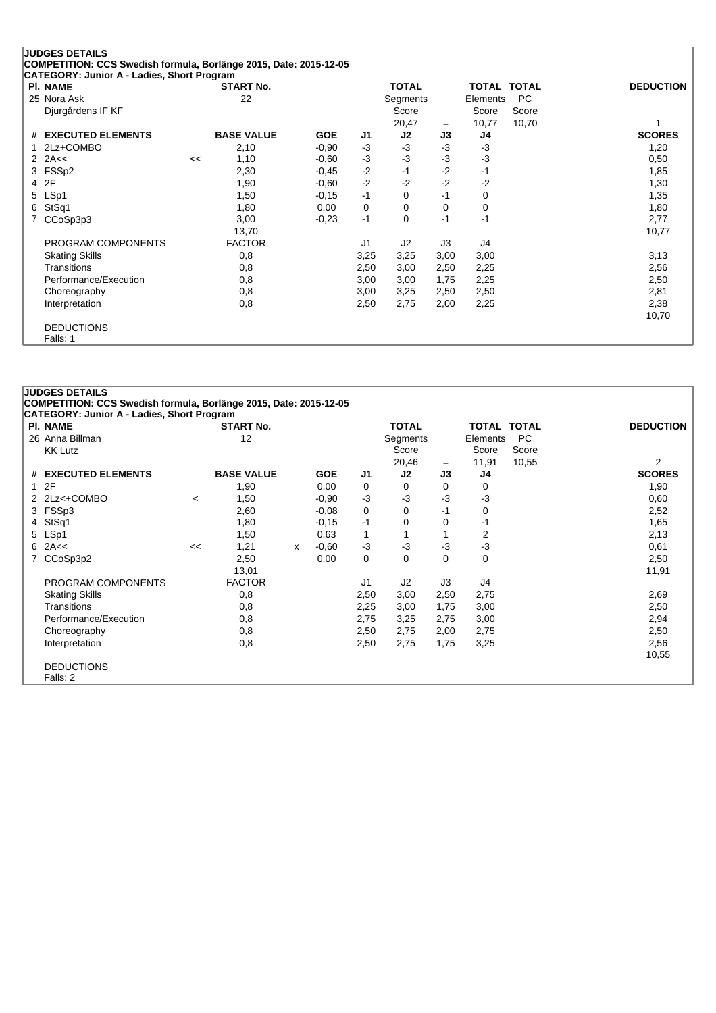|   | <b>JUDGES DETAILS</b>                                             |    |                   |            |                |              |      |             |           |                  |
|---|-------------------------------------------------------------------|----|-------------------|------------|----------------|--------------|------|-------------|-----------|------------------|
|   | COMPETITION: CCS Swedish formula, Borlänge 2015, Date: 2015-12-05 |    |                   |            |                |              |      |             |           |                  |
|   | CATEGORY: Junior A - Ladies, Short Program                        |    |                   |            |                |              |      |             |           |                  |
|   | <b>PI. NAME</b>                                                   |    | <b>START No.</b>  |            |                | <b>TOTAL</b> |      | TOTAL TOTAL |           | <b>DEDUCTION</b> |
|   | 25 Nora Ask                                                       |    | 22                |            |                | Segments     |      | Elements    | <b>PC</b> |                  |
|   | Djurgårdens IF KF                                                 |    |                   |            |                | Score        |      | Score       | Score     |                  |
|   |                                                                   |    |                   |            |                | 20,47        | $=$  | 10,77       | 10,70     | 1                |
|   | # EXECUTED ELEMENTS                                               |    | <b>BASE VALUE</b> | <b>GOE</b> | J1             | J2           | J3   | J4          |           | <b>SCORES</b>    |
| 1 | 2Lz+COMBO                                                         |    | 2,10              | $-0.90$    | -3             | $-3$         | $-3$ | $-3$        |           | 1,20             |
|   | 2 $2A<<$                                                          | << | 1,10              | $-0.60$    | $-3$           | $-3$         | $-3$ | $-3$        |           | 0,50             |
|   | 3 FSSp2                                                           |    | 2,30              | $-0.45$    | $-2$           | $-1$         | $-2$ | $-1$        |           | 1,85             |
|   | 4 2F                                                              |    | 1,90              | $-0.60$    | $-2$           | $-2$         | $-2$ | $-2$        |           | 1,30             |
|   | 5 LSp1                                                            |    | 1,50              | $-0,15$    | $-1$           | 0            | $-1$ | 0           |           | 1,35             |
| 6 | StSq1                                                             |    | 1,80              | 0,00       | 0              | 0            | 0    | 0           |           | 1,80             |
|   | CCoSp3p3                                                          |    | 3,00              | $-0,23$    | $-1$           | $\Omega$     | $-1$ | $-1$        |           | 2,77             |
|   |                                                                   |    | 13,70             |            |                |              |      |             |           | 10,77            |
|   | PROGRAM COMPONENTS                                                |    | <b>FACTOR</b>     |            | J <sub>1</sub> | J2           | J3   | J4          |           |                  |
|   | <b>Skating Skills</b>                                             |    | 0,8               |            | 3,25           | 3,25         | 3,00 | 3,00        |           | 3,13             |
|   | Transitions                                                       |    | 0,8               |            | 2,50           | 3,00         | 2,50 | 2,25        |           | 2,56             |
|   | Performance/Execution                                             |    | 0,8               |            | 3,00           | 3,00         | 1,75 | 2,25        |           | 2,50             |
|   | Choreography                                                      |    | 0,8               |            | 3,00           | 3,25         | 2,50 | 2,50        |           | 2,81             |
|   | Interpretation                                                    |    | 0,8               |            | 2,50           | 2,75         | 2,00 | 2,25        |           | 2,38             |
|   |                                                                   |    |                   |            |                |              |      |             |           | 10,70            |
|   | <b>DEDUCTIONS</b>                                                 |    |                   |            |                |              |      |             |           |                  |
|   | Falls: 1                                                          |    |                   |            |                |              |      |             |           |                  |

#### **JUDGES DETAILS COMPETITION: CCS Swedish formula, Borlänge 2015, Date: 2015-12-05 CATEGORY: Junior A - Ladies, Short Program Pl. NAME START No. TOTAL TOTAL TOTAL DEDUCTION** 26 Anna Billman 12 12 Segments Elements PC (Score Score Score Score Score Score Score Score Score Score Score KK Lutz Score Score Score 20,46 <sup>=</sup> 11,91 10,55 2 **# EXECUTED ELEMENTS BASE VALUE GOE J1 J2 J3 J4 SCORES** 1 2F 1,90 0,00 0 0 0 0 1,90 2 2Lz<+COMBO <sup>&</sup>lt; 1,50 -0,90 -3 -3 -3 -3 0,60 3 FSSp3 2,60 -0,08 0 0 -1 0 2,52 4 StSq1 1,80 -0,15 -1 0 -1 1,65 5 LSp1 1,50 0,63 1 1 1 2 2,13 6 2A<< << 1,21 <sup>x</sup> -0,60 -3 -3 -3 -3 0,61 7 CCoSp3p2 2,50 0,00 0 0 0 0 2,50 13,01 11,91 PROGRAM COMPONENTS FACTOR J1 J2 J3 J4 Skating Skills 0,8 2,50 3,00 2,50 2,75 2,69 Transitions 0,8 2,25 3,00 1,75 3,00 2,50 Performance/Execution 0,8 0,8 2,75 3,25 2,75 3,00 2,94 Choreography 0,8 2,50 2,75 2,00 2,75 2,50 Interpretation 0,8 2,50 2,75 1,75 3,25 2,56 10,55 DEDUCTIONS Falls: 2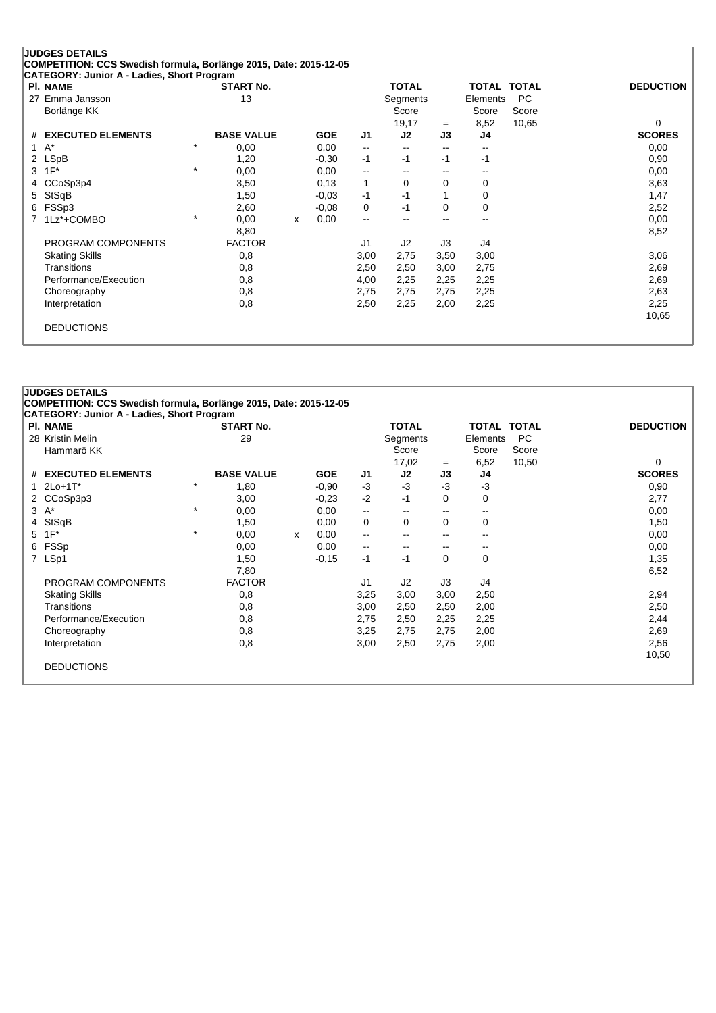| <b>PI. NAME</b>               |         | <b>START No.</b>  |   |            |                          | <b>TOTAL</b>             |                          | <b>TOTAL TOTAL</b>       |           | <b>DEDUCTION</b> |
|-------------------------------|---------|-------------------|---|------------|--------------------------|--------------------------|--------------------------|--------------------------|-----------|------------------|
| Emma Jansson<br>27            |         | 13                |   |            |                          | Segments                 |                          | Elements                 | <b>PC</b> |                  |
| Borlänge KK                   |         |                   |   |            |                          | Score                    |                          | Score                    | Score     |                  |
|                               |         |                   |   |            |                          | 19,17                    | $=$                      | 8,52                     | 10,65     | $\Omega$         |
| <b>EXECUTED ELEMENTS</b><br># |         | <b>BASE VALUE</b> |   | <b>GOE</b> | J1                       | J2                       | J3                       | J4                       |           | <b>SCORES</b>    |
| $A^*$<br>1                    | $\star$ | 0,00              |   | 0,00       | $\overline{\phantom{m}}$ | $\overline{\phantom{m}}$ | $\overline{\phantom{a}}$ | --                       |           | 0,00             |
| <b>LSpB</b><br>2              |         | 1,20              |   | $-0,30$    | $-1$                     | $-1$                     | -1                       | -1                       |           | 0,90             |
| $1F^*$<br>3                   | $\star$ | 0,00              |   | 0,00       | --                       | $\overline{\phantom{a}}$ | --                       | $\overline{\phantom{a}}$ |           | 0,00             |
| CCoSp3p4                      |         | 3,50              |   | 0,13       | 1                        | $\Omega$                 | 0                        | 0                        |           | 3,63             |
| StSqB<br>5                    |         | 1,50              |   | $-0,03$    | $-1$                     | -1                       |                          | 0                        |           | 1,47             |
| FSSp3<br>6                    |         | 2,60              |   | $-0.08$    | 0                        | $-1$                     | $\Omega$                 | 0                        |           | 2,52             |
| 1Lz*+COMBO                    | $\star$ | 0,00              | X | 0,00       | $\overline{\phantom{a}}$ | --                       | $-$                      | $- -$                    |           | 0,00             |
|                               |         | 8,80              |   |            |                          |                          |                          |                          |           | 8,52             |
| PROGRAM COMPONENTS            |         | <b>FACTOR</b>     |   |            | J1                       | J2                       | J3                       | J4                       |           |                  |
| <b>Skating Skills</b>         |         | 0,8               |   |            | 3,00                     | 2,75                     | 3,50                     | 3,00                     |           | 3,06             |
| Transitions                   |         | 0,8               |   |            | 2,50                     | 2,50                     | 3,00                     | 2,75                     |           | 2,69             |
| Performance/Execution         |         | 0,8               |   |            | 4,00                     | 2,25                     | 2,25                     | 2,25                     |           | 2,69             |
| Choreography                  |         | 0,8               |   |            | 2,75                     | 2,75                     | 2,75                     | 2,25                     |           | 2,63             |
| Interpretation                |         | 0,8               |   |            | 2,50                     | 2,25                     | 2,00                     | 2,25                     |           | 2,25             |
|                               |         |                   |   |            |                          |                          |                          |                          |           | 10,65            |

# **JUDGES DETAILS COMPETITION: CCS Swedish formula, Borlänge 2015, Date: 2015-12-05 CATEGORY: Junior A - Ladies, Short Program Pl. NAME START No. TOTAL TOTAL TOTAL DEDUCTION** 28 Kristin Melin 29 Segments Elements PC Hammarö KK Score Score Score 17,02 <sup>=</sup> 6,52 10,50 0 **# EXECUTED ELEMENTS BASE VALUE GOE J1 J2 J3 J4 SCORES** 1 2Lo+1T\* \* 1,80 -0,90 -3 -3 -3 -3 0,90 2 CCoSp3p3 3,00 -0,23 -2 -1 0 0 2,77  $3 \text{ A}^*$   $3 \text{ A}^*$   $10,00$   $10,00$   $10,00$   $10,00$   $10,00$   $10,00$ 4 StSqB 1,50 0,00 0 0 0 0 1,50 5 1F\* \* 0,00 <sup>x</sup> 0,00 -- -- -- -- 0,00 6 FSSp 0,00 0,00 -- -- -- -- 0,00 7 LSp1 1,50 -0,15 -1 -1 0 0 1,35 7,80 6,52 PROGRAM COMPONENTS FACTOR J1 J2 J3 J4 Skating Skills 0,8 3,25 3,00 3,00 2,50 2,94 Transitions 0,8 3,00 2,50 2,50 2,00 2,50 Performance/Execution 0,8 0,8 2,75 2,50 2,25 2,25 2,25 2,44 Choreography 0,8 3,25 2,75 2,75 2,00 2,69 Interpretation 0,8 3,00 2,50 2,75 2,00 2,56 10,50 DEDUCTIONS